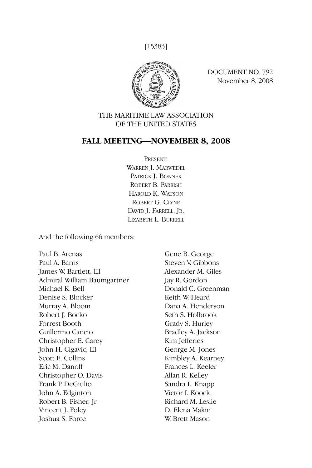[15383]



DOCUMENT NO. 792 November 8, 2008

# THE MARITIME LAW ASSOCIATION OF THE UNITED STATES

# **FALL MEETING—NOVEMBER 8, 2008**

PRESENT: WARREN I. MARWEDEL PATRICK J. BONNER ROBERT B. PARRISH HAROLD K. WATSON ROBERT G. CLYNE DAVID J. FARRELL, JR. LIZABETH L. BURRELL

And the following 66 members:

Paul B. Arenas Paul A. Barns James W. Bartlett, III Admiral William Baumgartner Michael K. Bell Denise S. Blocker Murray A. Bloom Robert J. Bocko Forrest Booth Guillermo Cancio Christopher E. Carey John H. Cigavic, III Scott E. Collins Eric M. Danoff Christopher O. Davis Frank P. DeGiulio John A. Edginton Robert B. Fisher, Jr. Vincent J. Foley Joshua S. Force

Gene B. George Steven V. Gibbons Alexander M. Giles Jay R. Gordon Donald C. Greenman Keith W. Heard Dana A. Henderson Seth S. Holbrook Grady S. Hurley Bradley A. Jackson Kim Jefferies George M. Jones Kimbley A. Kearney Frances L. Keeler Allan R. Kelley Sandra L. Knapp Victor I. Koock Richard M. Leslie D. Elena Makin W. Brett Mason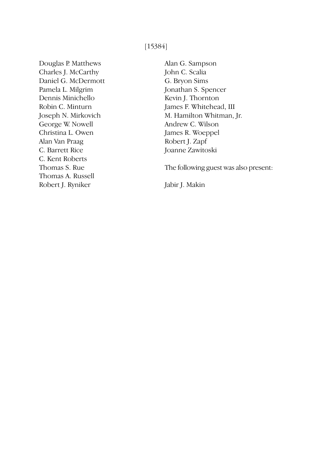[15384]

Douglas P. Matthews Charles J. McCarthy Daniel G. McDermott Pamela L. Milgrim Dennis Minichello Robin C. Minturn Joseph N. Mirkovich George W. Nowell Christina L. Owen Alan Van Praag C. Barrett Rice C. Kent Roberts Thomas S. Rue Thomas A. Russell Robert J. Ryniker

Alan G. Sampson John C. Scalia G. Bryon Sims Jonathan S. Spencer Kevin J. Thornton James F. Whitehead, III M. Hamilton Whitman, Jr. Andrew C. Wilson James R. Woeppel Robert J. Zapf Joanne Zawitoski

The following guest was also present:

Jabir J. Makin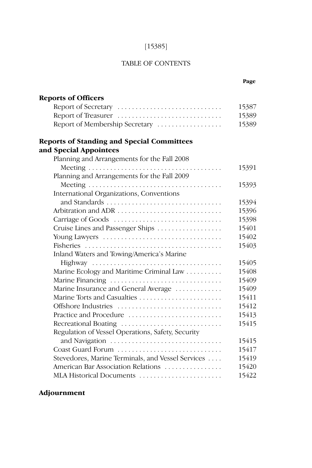# [15385]

# TABLE OF CONTENTS

| <b>Reports of Officers</b>                        |       |
|---------------------------------------------------|-------|
| Report of Secretary                               | 15387 |
| Report of Treasurer                               | 15389 |
| Report of Membership Secretary                    | 15389 |
| <b>Reports of Standing and Special Committees</b> |       |
| and Special Appointees                            |       |
| Planning and Arrangements for the Fall 2008       |       |
|                                                   | 15391 |
| Planning and Arrangements for the Fall 2009       |       |
|                                                   | 15393 |
| International Organizations, Conventions          |       |
|                                                   | 15394 |
| Arbitration and ADR                               | 15396 |
|                                                   | 15398 |
| Cruise Lines and Passenger Ships                  | 15401 |
| Young Lawyers                                     | 15402 |
|                                                   | 15403 |
| Inland Waters and Towing/America's Marine         |       |
|                                                   | 15405 |
| Marine Ecology and Maritime Criminal Law          | 15408 |
| Marine Financing                                  | 15409 |
| Marine Insurance and General Average              | 15409 |
|                                                   | 15411 |
| Offshore Industries                               | 15412 |
| Practice and Procedure                            | 15413 |
| Recreational Boating                              | 15415 |
| Regulation of Vessel Operations, Safety, Security |       |
|                                                   | 15415 |
| Coast Guard Forum                                 | 15417 |
| Stevedores, Marine Terminals, and Vessel Services | 15419 |
| American Bar Association Relations                | 15420 |
| MLA Historical Documents                          | 15422 |
|                                                   |       |

# **Adjournment**

# **Page**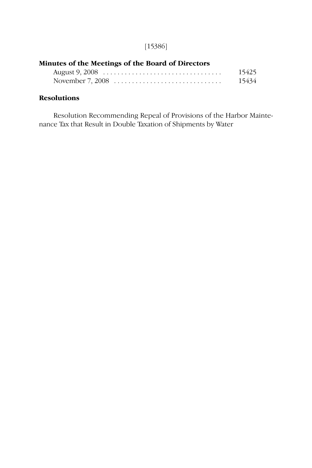# [15386]

# **Minutes of the Meetings of the Board of Directors** August 9, 2008 . . . . . . . . . . . . . . . . . . . . . . . . . . . . . . . . . 15425

|  | $1.105$ and $2.1000$ and $1.100$ and $1.100$ and $1.100$ and $1.100$ and $1.100$ and $1.100$ and $1.100$ and $1.100$ and $1.100$ and $1.100$ and $1.100$ and $1.100$ and $1.100$ and $1.100$ and $1.100$ and $1.100$ and $1.1$ |       |
|--|--------------------------------------------------------------------------------------------------------------------------------------------------------------------------------------------------------------------------------|-------|
|  | November 7, 2008 $\ldots \ldots \ldots \ldots \ldots \ldots \ldots \ldots \ldots \ldots$                                                                                                                                       | 15434 |

# **Resolutions**

Resolution Recommending Repeal of Provisions of the Harbor Maintenance Tax that Result in Double Taxation of Shipments by Water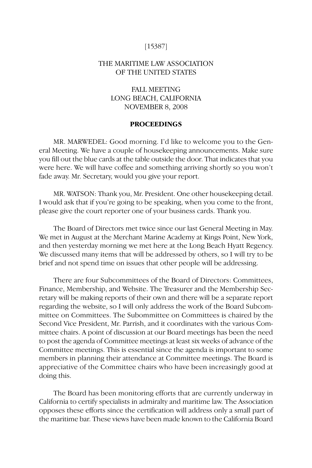### [15387]

## THE MARITIME LAW ASSOCIATION OF THE UNITED STATES

# FALL MEETING LONG BEACH, CALIFORNIA NOVEMBER 8, 2008

# **PROCEEDINGS**

MR. MARWEDEL: Good morning. I'd like to welcome you to the General Meeting. We have a couple of housekeeping announcements. Make sure you fill out the blue cards at the table outside the door. That indicates that you were here. We will have coffee and something arriving shortly so you won't fade away. Mr. Secretary, would you give your report.

MR. WATSON: Thank you, Mr. President. One other housekeeping detail. I would ask that if you're going to be speaking, when you come to the front, please give the court reporter one of your business cards. Thank you.

The Board of Directors met twice since our last General Meeting in May. We met in August at the Merchant Marine Academy at Kings Point, New York, and then yesterday morning we met here at the Long Beach Hyatt Regency. We discussed many items that will be addressed by others, so I will try to be brief and not spend time on issues that other people will be addressing.

There are four Subcommittees of the Board of Directors: Committees, Finance, Membership, and Website. The Treasurer and the Membership Secretary will be making reports of their own and there will be a separate report regarding the website, so I will only address the work of the Board Subcommittee on Committees. The Subommittee on Committees is chaired by the Second Vice President, Mr. Parrish, and it coordinates with the various Committee chairs. A point of discussion at our Board meetings has been the need to post the agenda of Committee meetings at least six weeks of advance of the Committee meetings. This is essential since the agenda is important to some members in planning their attendance at Committee meetings. The Board is appreciative of the Committee chairs who have been increasingly good at doing this.

The Board has been monitoring efforts that are currently underway in California to certify specialists in admiralty and maritime law. The Association opposes these efforts since the certification will address only a small part of the maritime bar. These views have been made known to the California Board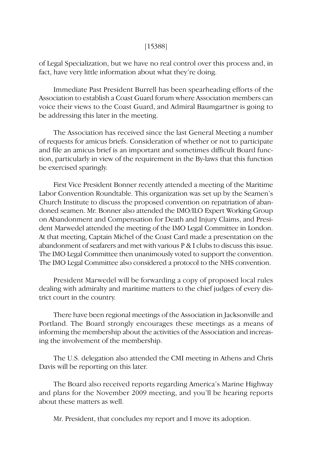### [15388]

of Legal Specialization, but we have no real control over this process and, in fact, have very little information about what they're doing.

Immediate Past President Burrell has been spearheading efforts of the Association to establish a Coast Guard forum where Association members can voice their views to the Coast Guard, and Admiral Baumgartner is going to be addressing this later in the meeting.

The Association has received since the last General Meeting a number of requests for amicus briefs. Consideration of whether or not to participate and file an amicus brief is an important and sometimes difficult Board function, particularly in view of the requirement in the By-laws that this function be exercised sparingly.

First Vice President Bonner recently attended a meeting of the Maritime Labor Convention Roundtable. This organization was set up by the Seamen's Church Institute to discuss the proposed convention on repatriation of abandoned seamen. Mr. Bonner also attended the IMO/ILO Expert Working Group on Abandonment and Compensation for Death and Injury Claims, and President Marwedel attended the meeting of the IMO Legal Committee in London. At that meeting, Captain Michel of the Coast Card made a presentation on the abandonment of seafarers and met with various P & I clubs to discuss this issue. The IMO Legal Committee then unanimously voted to support the convention. The IMO Legal Committee also considered a protocol to the NHS convention.

President Marwedel will be forwarding a copy of proposed local rules dealing with admiralty and maritime matters to the chief judges of every district court in the country.

There have been regional meetings of the Association in Jacksonville and Portland. The Board strongly encourages these meetings as a means of informing the membership about the activities of the Association and increasing the involvement of the membership.

The U.S. delegation also attended the CMI meeting in Athens and Chris Davis will be reporting on this later.

The Board also received reports regarding America's Marine Highway and plans for the November 2009 meeting, and you'll be hearing reports about these matters as well.

Mr. President, that concludes my report and I move its adoption.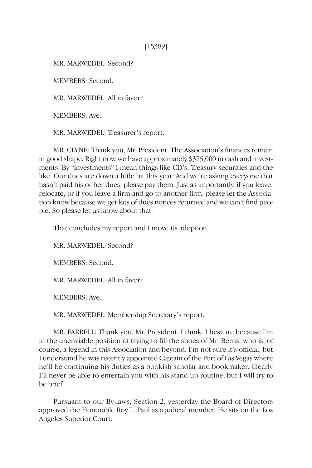[15389]

MR. MARWEDEL: Second?

MEMBERS: Second.

MR. MARWEDEL: All in favor?

MEMBERS: Aye.

MR. MARWEDEL: Treasurer's report.

MR. CLYNE: Thank you, Mr. President. The Association's finances remain in good shape. Right now we have approximately \$375,000 in cash and investments. By "investments" I mean things like CD's, Treasury securities and the like. Our dues are down a little bit this year. And we're asking everyone that hasn't paid his or her dues, please pay them. Just as importantly, if you leave, relocate, or if you leave a firm and go to another firm, please let the Association know because we get lots of dues notices returned and we can't find people. So please let us know about that.

That concludes my report and I move its adoption.

MR. MARWEDEL: Second?

MEMBERS: Second.

MR. MARWEDEL: All in favor?

MEMBERS: Aye.

MR. MARWEDEL: Membership Secretary's report.

MR. FARRELL: Thank you, Mr. President, I think. I hesitate because I'm in the unenviable position of trying to fill the shoes of Mr. Berns, who is, of course, a legend in this Association and beyond. I'm not sure it's official, but I understand he was recently appointed Captain of the Port of Las Vegas where he'll be continuing his duties as a bookish scholar and bookmaker. Clearly I'll never be able to entertain you with his stand-up routine, but I will try to be brief.

Pursuant to our By-laws, Section 2, yesterday the Board of Directors approved the Honorable Roy L. Paul as a judicial member. He sits on the Los Angeles Superior Court.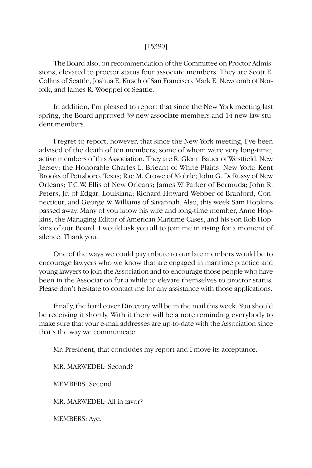### [15390]

The Board also, on recommendation of the Committee on Proctor Admissions, elevated to proctor status four associate members. They are Scott E. Collins of Seattle, Joshua E. Kirsch of San Francisco, Mark E. Newcomb of Norfolk, and James R. Woeppel of Seattle.

In addition, I'm pleased to report that since the New York meeting last spring, the Board approved 39 new associate members and 14 new law student members.

I regret to report, however, that since the New York meeting, I've been advised of the death of ten members, some of whom were very long-time, active members of this Association. They are R. Glenn Bauer of Westfield, New Jersey; the Honorable Charles L. Brieant of White Plains, New York; Kent Brooks of Pottsboro, Texas; Rae M. Crowe of Mobile; John G. DeRussy of New Orleans; T.C.W. Ellis of New Orleans; James W. Parker of Bermuda; John R. Peters, Jr. of Edgar, Louisiana; Richard Howard Webber of Branford, Connecticut; and George W. Williams of Savannah. Also, this week Sam Hopkins passed away. Many of you know his wife and long-time member, Anne Hopkins, the Managing Editor of American Maritime Cases, and his son Rob Hopkins of our Board. I would ask you all to join me in rising for a moment of silence. Thank you.

One of the ways we could pay tribute to our late members would be to encourage lawyers who we know that are engaged in maritime practice and young lawyers to join the Association and to encourage those people who have been in the Association for a while to elevate themselves to proctor status. Please don't hesitate to contact me for any assistance with those applications.

Finally, the hard cover Directory will be in the mail this week. You should be receiving it shortly. With it there will be a note reminding everybody to make sure that your e-mail addresses are up-to-date with the Association since that's the way we communicate.

Mr. President, that concludes my report and I move its acceptance.

MR. MARWEDEL: Second?

MEMBERS: Second.

MR. MARWEDEL: All in favor?

MEMBERS: Aye.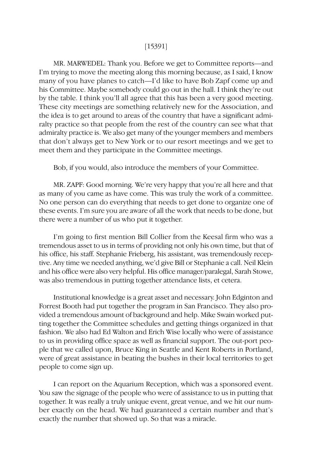#### [15391]

MR. MARWEDEL: Thank you. Before we get to Committee reports—and I'm trying to move the meeting along this morning because, as I said, I know many of you have planes to catch—I'd like to have Bob Zapf come up and his Committee. Maybe somebody could go out in the hall. I think they're out by the table. I think you'll all agree that this has been a very good meeting. These city meetings are something relatively new for the Association, and the idea is to get around to areas of the country that have a significant admiralty practice so that people from the rest of the country can see what that admiralty practice is. We also get many of the younger members and members that don't always get to New York or to our resort meetings and we get to meet them and they participate in the Committee meetings.

Bob, if you would, also introduce the members of your Committee.

MR. ZAPF: Good morning. We're very happy that you're all here and that as many of you came as have come. This was truly the work of a committee. No one person can do everything that needs to get done to organize one of these events. I'm sure you are aware of all the work that needs to be done, but there were a number of us who put it together.

I'm going to first mention Bill Collier from the Keesal firm who was a tremendous asset to us in terms of providing not only his own time, but that of his office, his staff. Stephanie Frieberg, his assistant, was tremendously receptive. Any time we needed anything, we'd give Bill or Stephanie a call. Neil Klein and his office were also very helpful. His office manager/paralegal, Sarah Stowe, was also tremendous in putting together attendance lists, et cetera.

Institutional knowledge is a great asset and necessary. John Edginton and Forrest Booth had put together the program in San Francisco. They also provided a tremendous amount of background and help. Mike Swain worked putting together the Committee schedules and getting things organized in that fashion. We also had Ed Walton and Erich Wise locally who were of assistance to us in providing office space as well as financial support. The out-port people that we called upon, Bruce King in Seattle and Kent Roberts in Portland, were of great assistance in beating the bushes in their local territories to get people to come sign up.

I can report on the Aquarium Reception, which was a sponsored event. You saw the signage of the people who were of assistance to us in putting that together. It was really a truly unique event, great venue, and we hit our number exactly on the head. We had guaranteed a certain number and that's exactly the number that showed up. So that was a miracle.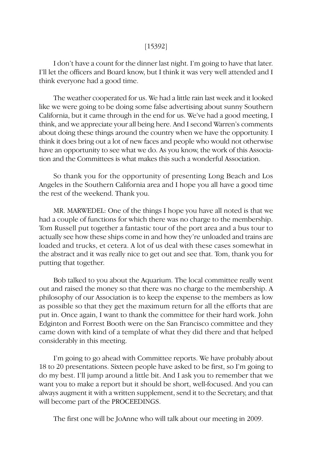#### [15392]

I don't have a count for the dinner last night. I'm going to have that later. I'll let the officers and Board know, but I think it was very well attended and I think everyone had a good time.

The weather cooperated for us. We had a little rain last week and it looked like we were going to be doing some false advertising about sunny Southern California, but it came through in the end for us. We've had a good meeting, I think, and we appreciate your all being here. And I second Warren's comments about doing these things around the country when we have the opportunity. I think it does bring out a lot of new faces and people who would not otherwise have an opportunity to see what we do. As you know, the work of this Association and the Committees is what makes this such a wonderful Association.

So thank you for the opportunity of presenting Long Beach and Los Angeles in the Southern California area and I hope you all have a good time the rest of the weekend. Thank you.

MR. MARWEDEL: One of the things I hope you have all noted is that we had a couple of functions for which there was no charge to the membership. Tom Russell put together a fantastic tour of the port area and a bus tour to actually see how these ships come in and how they're unloaded and trains are loaded and trucks, et cetera. A lot of us deal with these cases somewhat in the abstract and it was really nice to get out and see that. Tom, thank you for putting that together.

Bob talked to you about the Aquarium. The local committee really went out and raised the money so that there was no charge to the membership. A philosophy of our Association is to keep the expense to the members as low as possible so that they get the maximum return for all the efforts that are put in. Once again, I want to thank the committee for their hard work. John Edginton and Forrest Booth were on the San Francisco committee and they came down with kind of a template of what they did there and that helped considerably in this meeting.

I'm going to go ahead with Committee reports. We have probably about 18 to 20 presentations. Sixteen people have asked to be first, so I'm going to do my best. I'll jump around a little bit. And I ask you to remember that we want you to make a report but it should be short, well-focused. And you can always augment it with a written supplement, send it to the Secretary, and that will become part of the PROCEEDINGS.

The first one will be JoAnne who will talk about our meeting in 2009.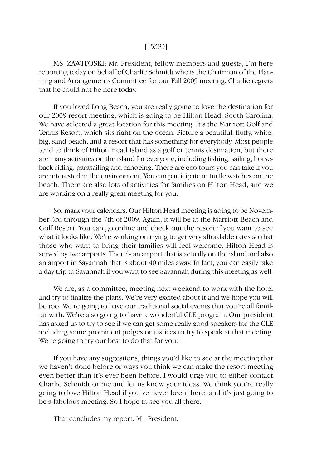#### [15393]

MS. ZAWITOSKI: Mr. President, fellow members and guests, I'm here reporting today on behalf of Charlie Schmidt who is the Chairman of the Planning and Arrangements Committee for our Fall 2009 meeting. Charlie regrets that he could not be here today.

If you loved Long Beach, you are really going to love the destination for our 2009 resort meeting, which is going to be Hilton Head, South Carolina. We have selected a great location for this meeting. It's the Marriott Golf and Tennis Resort, which sits right on the ocean. Picture a beautiful, fluffy, white, big, sand beach, and a resort that has something for everybody. Most people tend to think of Hilton Head Island as a golf or tennis destination, but there are many activities on the island for everyone, including fishing, sailing, horseback riding, parasailing and canoeing. There are eco-tours you can take if you are interested in the environment. You can participate in turtle watches on the beach. There are also lots of activities for families on Hilton Head, and we are working on a really great meeting for you.

So, mark your calendars. Our Hilton Head meeting is going to be November 3rd through the 7th of 2009. Again, it will be at the Marriott Beach and Golf Resort. You can go online and check out the resort if you want to see what it looks like. We're working on trying to get very affordable rates so that those who want to bring their families will feel welcome. Hilton Head is served by two airports. There's an airport that is actually on the island and also an airport in Savannah that is about 40 miles away. In fact, you can easily take a day trip to Savannah if you want to see Savannah during this meeting as well.

We are, as a committee, meeting next weekend to work with the hotel and try to finalize the plans. We're very excited about it and we hope you will be too. We're going to have our traditional social events that you're all familiar with. We're also going to have a wonderful CLE program. Our president has asked us to try to see if we can get some really good speakers for the CLE including some prominent judges or justices to try to speak at that meeting. We're going to try our best to do that for you.

If you have any suggestions, things you'd like to see at the meeting that we haven't done before or ways you think we can make the resort meeting even better than it's ever been before, I would urge you to either contact Charlie Schmidt or me and let us know your ideas. We think you're really going to love Hilton Head if you've never been there, and it's just going to be a fabulous meeting. So I hope to see you all there.

That concludes my report, Mr. President.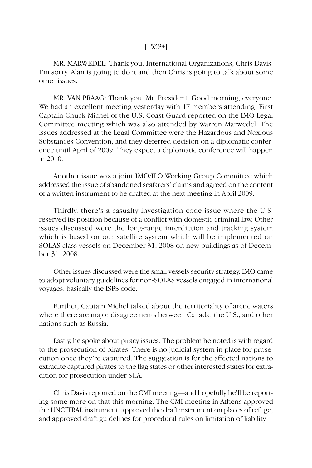#### [15394]

MR. MARWEDEL: Thank you. International Organizations, Chris Davis. I'm sorry. Alan is going to do it and then Chris is going to talk about some other issues.

MR. VAN PRAAG: Thank you, Mr. President. Good morning, everyone. We had an excellent meeting yesterday with 17 members attending. First Captain Chuck Michel of the U.S. Coast Guard reported on the IMO Legal Committee meeting which was also attended by Warren Marwedel. The issues addressed at the Legal Committee were the Hazardous and Noxious Substances Convention, and they deferred decision on a diplomatic conference until April of 2009. They expect a diplomatic conference will happen in 2010.

Another issue was a joint IMO/ILO Working Group Committee which addressed the issue of abandoned seafarers' claims and agreed on the content of a written instrument to be drafted at the next meeting in April 2009.

Thirdly, there's a casualty investigation code issue where the U.S. reserved its position because of a conflict with domestic criminal law. Other issues discussed were the long-range interdiction and tracking system which is based on our satellite system which will be implemented on SOLAS class vessels on December 31, 2008 on new buildings as of December 31, 2008.

Other issues discussed were the small vessels security strategy. IMO came to adopt voluntary guidelines for non-SOLAS vessels engaged in international voyages, basically the ISPS code.

Further, Captain Michel talked about the territoriality of arctic waters where there are major disagreements between Canada, the U.S., and other nations such as Russia.

Lastly, he spoke about piracy issues. The problem he noted is with regard to the prosecution of pirates. There is no judicial system in place for prosecution once they're captured. The suggestion is for the affected nations to extradite captured pirates to the flag states or other interested states for extradition for prosecution under SUA.

Chris Davis reported on the CMI meeting—and hopefully he'll be reporting some more on that this morning. The CMI meeting in Athens approved the UNCITRAL instrument, approved the draft instrument on places of refuge, and approved draft guidelines for procedural rules on limitation of liability.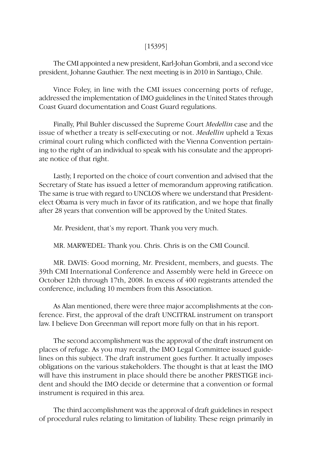# [15395]

The CMI appointed a new president, Karl-Johan Gombrii, and a second vice president, Johanne Gauthier. The next meeting is in 2010 in Santiago, Chile.

Vince Foley, in line with the CMI issues concerning ports of refuge, addressed the implementation of IMO guidelines in the United States through Coast Guard documentation and Coast Guard regulations.

Finally, Phil Buhler discussed the Supreme Court *Medellin* case and the issue of whether a treaty is self-executing or not. *Medellin* upheld a Texas criminal court ruling which conflicted with the Vienna Convention pertaining to the right of an individual to speak with his consulate and the appropriate notice of that right.

Lastly, I reported on the choice of court convention and advised that the Secretary of State has issued a letter of memorandum approving ratification. The same is true with regard to UNCLOS where we understand that Presidentelect Obama is very much in favor of its ratification, and we hope that finally after 28 years that convention will be approved by the United States.

Mr. President, that's my report. Thank you very much.

MR. MARWEDEL: Thank you. Chris. Chris is on the CMI Council.

MR. DAVIS: Good morning, Mr. President, members, and guests. The 39th CMI International Conference and Assembly were held in Greece on October 12th through 17th, 2008. In excess of 400 registrants attended the conference, including 10 members from this Association.

As Alan mentioned, there were three major accomplishments at the conference. First, the approval of the draft UNCITRAL instrument on transport law. I believe Don Greenman will report more fully on that in his report.

The second accomplishment was the approval of the draft instrument on places of refuge. As you may recall, the IMO Legal Committee issued guidelines on this subject. The draft instrument goes further. It actually imposes obligations on the various stakeholders. The thought is that at least the IMO will have this instrument in place should there be another PRESTIGE incident and should the IMO decide or determine that a convention or formal instrument is required in this area.

The third accomplishment was the approval of draft guidelines in respect of procedural rules relating to limitation of liability. These reign primarily in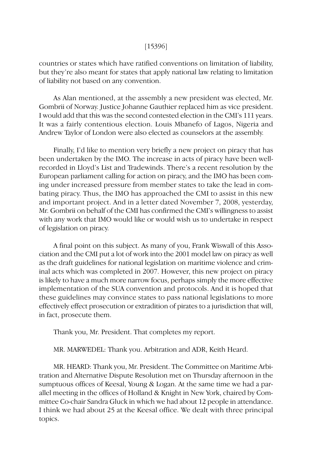#### [15396]

countries or states which have ratified conventions on limitation of liability, but they're also meant for states that apply national law relating to limitation of liability not based on any convention.

As Alan mentioned, at the assembly a new president was elected, Mr. Gombrii of Norway. Justice Johanne Gauthier replaced him as vice president. I would add that this was the second contested election in the CMI's 111 years. It was a fairly contentious election. Louis Mbanefo of Lagos, Nigeria and Andrew Taylor of London were also elected as counselors at the assembly.

Finally, I'd like to mention very briefly a new project on piracy that has been undertaken by the IMO. The increase in acts of piracy have been wellrecorded in Lloyd's List and Tradewinds. There's a recent resolution by the European parliament calling for action on piracy, and the IMO has been coming under increased pressure from member states to take the lead in combating piracy. Thus, the IMO has approached the CMI to assist in this new and important project. And in a letter dated November 7, 2008, yesterday, Mr. Gombrii on behalf of the CMI has confirmed the CMI's willingness to assist with any work that IMO would like or would wish us to undertake in respect of legislation on piracy.

A final point on this subject. As many of you, Frank Wiswall of this Association and the CMI put a lot of work into the 2001 model law on piracy as well as the draft guidelines for national legislation on maritime violence and criminal acts which was completed in 2007. However, this new project on piracy is likely to have a much more narrow focus, perhaps simply the more effective implementation of the SUA convention and protocols. And it is hoped that these guidelines may convince states to pass national legislations to more effectively effect prosecution or extradition of pirates to a jurisdiction that will, in fact, prosecute them.

Thank you, Mr. President. That completes my report.

MR. MARWEDEL: Thank you. Arbitration and ADR, Keith Heard.

MR. HEARD: Thank you, Mr. President. The Committee on Maritime Arbitration and Alternative Dispute Resolution met on Thursday afternoon in the sumptuous offices of Keesal, Young & Logan. At the same time we had a parallel meeting in the offices of Holland & Knight in New York, chaired by Committee Co-chair Sandra Gluck in which we had about 12 people in attendance. I think we had about 25 at the Keesal office. We dealt with three principal topics.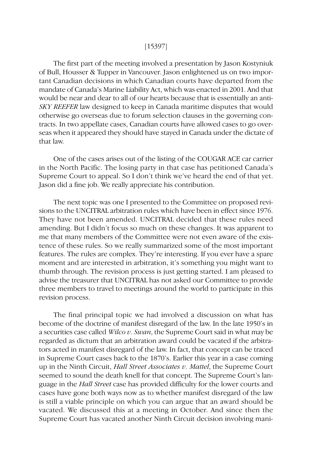#### [15397]

The first part of the meeting involved a presentation by Jason Kostyniuk of Bull, Housser & Tupper in Vancouver. Jason enlightened us on two important Canadian decisions in which Canadian courts have departed from the mandate of Canada's Marine Liability Act, which was enacted in 2001. And that would be near and dear to all of our hearts because that is essentially an anti-*SKY REEFER* law designed to keep in Canada maritime disputes that would otherwise go overseas due to forum selection clauses in the governing contracts. In two appellate cases, Canadian courts have allowed cases to go overseas when it appeared they should have stayed in Canada under the dictate of that law.

One of the cases arises out of the listing of the COUGAR ACE car carrier in the North Pacific. The losing party in that case has petitioned Canada's Supreme Court to appeal. So I don't think we've heard the end of that yet. Jason did a fine job. We really appreciate his contribution.

The next topic was one I presented to the Committee on proposed revisions to the UNCITRAL arbitration rules which have been in effect since 1976. They have not been amended. UNCITRAL decided that these rules need amending. But I didn't focus so much on these changes. It was apparent to me that many members of the Committee were not even aware of the existence of these rules. So we really summarized some of the most important features. The rules are complex. They're interesting. If you ever have a spare moment and are interested in arbitration, it's something you might want to thumb through. The revision process is just getting started. I am pleased to advise the treasurer that UNCITRAL has not asked our Committee to provide three members to travel to meetings around the world to participate in this revision process.

The final principal topic we had involved a discussion on what has become of the doctrine of manifest disregard of the law. In the late 1950's in a securities case called *Wilco v. Swan*, the Supreme Court said in what may be regarded as dictum that an arbitration award could be vacated if the arbitrators acted in manifest disregard of the law. In fact, that concept can be traced in Supreme Court cases back to the 1870's. Earlier this year in a case coming up in the Ninth Circuit, *Hall Street Associates v. Mattel*, the Supreme Court seemed to sound the death knell for that concept. The Supreme Court's language in the *Hall Street* case has provided difficulty for the lower courts and cases have gone both ways now as to whether manifest disregard of the law is still a viable principle on which you can argue that an award should be vacated. We discussed this at a meeting in October. And since then the Supreme Court has vacated another Ninth Circuit decision involving mani-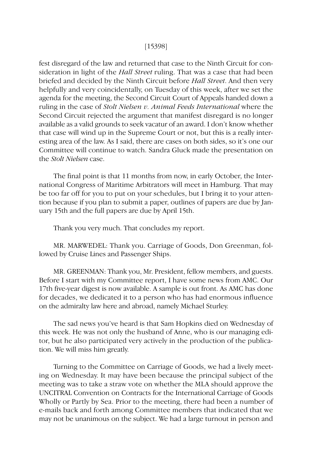#### [15398]

fest disregard of the law and returned that case to the Ninth Circuit for consideration in light of the *Hall Street* ruling. That was a case that had been briefed and decided by the Ninth Circuit before *Hall Street*. And then very helpfully and very coincidentally, on Tuesday of this week, after we set the agenda for the meeting, the Second Circuit Court of Appeals handed down a ruling in the case of *Stolt Nielsen v. Animal Feeds International* where the Second Circuit rejected the argument that manifest disregard is no longer available as a valid grounds to seek vacatur of an award. I don't know whether that case will wind up in the Supreme Court or not, but this is a really interesting area of the law. As I said, there are cases on both sides, so it's one our Committee will continue to watch. Sandra Gluck made the presentation on the *Stolt Nielsen* case.

The final point is that 11 months from now, in early October, the International Congress of Maritime Arbitrators will meet in Hamburg. That may be too far off for you to put on your schedules, but I bring it to your attention because if you plan to submit a paper, outlines of papers are due by January 15th and the full papers are due by April 15th.

Thank you very much. That concludes my report.

MR. MARWEDEL: Thank you. Carriage of Goods, Don Greenman, followed by Cruise Lines and Passenger Ships.

MR. GREENMAN: Thank you, Mr. President, fellow members, and guests. Before I start with my Committee report, I have some news from AMC. Our 17th five-year digest is now available. A sample is out front. As AMC has done for decades, we dedicated it to a person who has had enormous influence on the admiralty law here and abroad, namely Michael Sturley.

The sad news you've heard is that Sam Hopkins died on Wednesday of this week. He was not only the husband of Anne, who is our managing editor, but he also participated very actively in the production of the publication. We will miss him greatly.

Turning to the Committee on Carriage of Goods, we had a lively meeting on Wednesday. It may have been because the principal subject of the meeting was to take a straw vote on whether the MLA should approve the UNCITRAL Convention on Contracts for the International Carriage of Goods Wholly or Partly by Sea. Prior to the meeting, there had been a number of e-mails back and forth among Committee members that indicated that we may not be unanimous on the subject. We had a large turnout in person and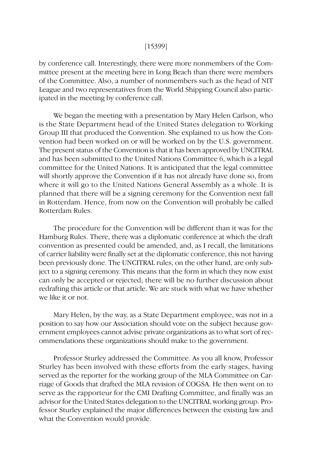#### [15399]

by conference call. Interestingly, there were more nonmembers of the Committee present at the meeting here in Long Beach than there were members of the Committee. Also, a number of nonmembers such as the head of NIT League and two representatives from the World Shipping Council also participated in the meeting by conference call.

We began the meeting with a presentation by Mary Helen Carlson, who is the State Department head of the United States delegation to Working Group III that produced the Convention. She explained to us how the Convention had been worked on or will be worked on by the U.S. government. The present status of the Convention is that it has been approved by UNCITRAL and has been submitted to the United Nations Committee 6, which is a legal committee for the United Nations. It is anticipated that the legal committee will shortly approve the Convention if it has not already have done so, from where it will go to the United Nations General Assembly as a whole. It is planned that there will be a signing ceremony for the Convention next fall in Rotterdam. Hence, from now on the Convention will probably be called Rotterdam Rules.

The procedure for the Convention will be different than it was for the Hamburg Rules. There, there was a diplomatic conference at which the draft convention as presented could be amended, and, as I recall, the limitations of carrier liability were finally set at the diplomatic conference, this not having been previously done. The UNCITRAL rules, on the other hand, are only subject to a signing ceremony. This means that the form in which they now exist can only be accepted or rejected; there will be no further discussion about redrafting this article or that article. We are stuck with what we have whether we like it or not.

Mary Helen, by the way, as a State Department employee, was not in a position to say how our Association should vote on the subject because government employees cannot advise private organizations as to what sort of recommendations these organizations should make to the government.

Professor Sturley addressed the Committee. As you all know, Professor Sturley has been involved with these efforts from the early stages, having served as the reporter for the working group of the MLA Committee on Carriage of Goods that drafted the MLA revision of COGSA. He then went on to serve as the rapporteur for the CMI Drafting Committee, and finally was an advisor for the United States delegation to the UNCITRAL working group. Professor Sturley explained the major differences between the existing law and what the Convention would provide.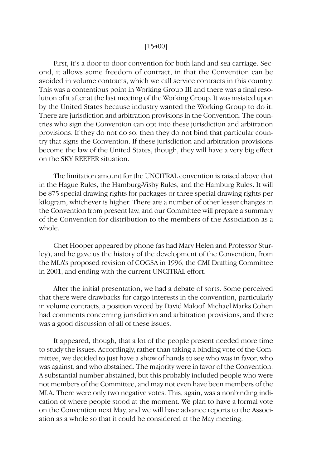### [15400]

First, it's a door-to-door convention for both land and sea carriage. Second, it allows some freedom of contract, in that the Convention can be avoided in volume contracts, which we call service contracts in this country. This was a contentious point in Working Group III and there was a final resolution of it after at the last meeting of the Working Group. It was insisted upon by the United States because industry wanted the Working Group to do it. There are jurisdiction and arbitration provisions in the Convention. The countries who sign the Convention can opt into these jurisdiction and arbitration provisions. If they do not do so, then they do not bind that particular country that signs the Convention. If these jurisdiction and arbitration provisions become the law of the United States, though, they will have a very big effect on the SKY REEFER situation.

The limitation amount for the UNCITRAL convention is raised above that in the Hague Rules, the Hamburg-Visby Rules, and the Hamburg Rules. It will be 875 special drawing rights for packages or three special drawing rights per kilogram, whichever is higher. There are a number of other lesser changes in the Convention from present law, and our Committee will prepare a summary of the Convention for distribution to the members of the Association as a whole.

Chet Hooper appeared by phone (as had Mary Helen and Professor Sturley), and he gave us the history of the development of the Convention, from the MLA's proposed revision of COGSA in 1996, the CMI Drafting Committee in 2001, and ending with the current UNCITRAL effort.

After the initial presentation, we had a debate of sorts. Some perceived that there were drawbacks for cargo interests in the convention, particularly in volume contracts, a position voiced by David Maloof. Michael Marks Cohen had comments concerning jurisdiction and arbitration provisions, and there was a good discussion of all of these issues.

It appeared, though, that a lot of the people present needed more time to study the issues. Accordingly, rather than taking a binding vote of the Committee, we decided to just have a show of hands to see who was in favor, who was against, and who abstained. The majority were in favor of the Convention. A substantial number abstained, but this probably included people who were not members of the Committee, and may not even have been members of the MLA. There were only two negative votes. This, again, was a nonbinding indication of where people stood at the moment. We plan to have a formal vote on the Convention next May, and we will have advance reports to the Association as a whole so that it could be considered at the May meeting.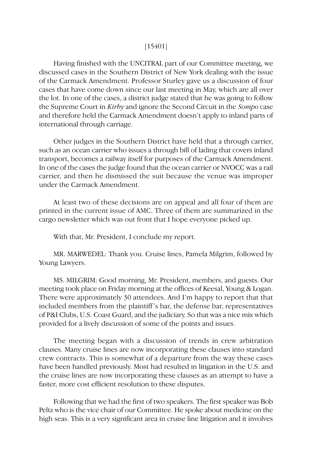### [15401]

Having finished with the UNCITRAL part of our Committee meeting, we discussed cases in the Southern District of New York dealing with the issue of the Carmack Amendment. Professor Sturley gave us a discussion of four cases that have come down since our last meeting in May, which are all over the lot. In one of the cases, a district judge stated that he was going to follow the Supreme Court in *Kirby* and ignore the Second Circuit in the *Sompo* case and therefore held the Carmack Amendment doesn't apply to inland parts of international through carriage.

Other judges in the Southern District have held that a through carrier, such as an ocean carrier who issues a through bill of lading that covers inland transport, becomes a railway itself for purposes of the Carmack Amendment. In one of the cases the judge found that the ocean carrier or NVOCC was a rail carrier, and then he dismissed the suit because the venue was improper under the Carmack Amendment.

At least two of these decisions are on appeal and all four of them are printed in the current issue of AMC. Three of them are summarized in the cargo newsletter which was out front that I hope everyone picked up.

With that, Mr. President, I conclude my report.

MR. MARWEDEL: Thank you. Cruise lines, Pamela Milgrim, followed by Young Lawyers.

MS. MILGRIM: Good morning, Mr. President, members, and guests. Our meeting took place on Friday morning at the offices of Keesal, Young & Logan. There were approximately 30 attendees. And I'm happy to report that that included members from the plaintiff 's bar, the defense bar, representatives of P&I Clubs, U.S. Coast Guard, and the judiciary. So that was a nice mix which provided for a lively discussion of some of the points and issues.

The meeting began with a discussion of trends in crew arbitration clauses. Many cruise lines are now incorporating these clauses into standard crew contracts. This is somewhat of a departure from the way these cases have been handled previously. Most had resulted in litigation in the U.S. and the cruise lines are now incorporating these clauses as an attempt to have a faster, more cost efficient resolution to these disputes.

Following that we had the first of two speakers. The first speaker was Bob Peltz who is the vice chair of our Committee. He spoke about medicine on the high seas. This is a very significant area in cruise line litigation and it involves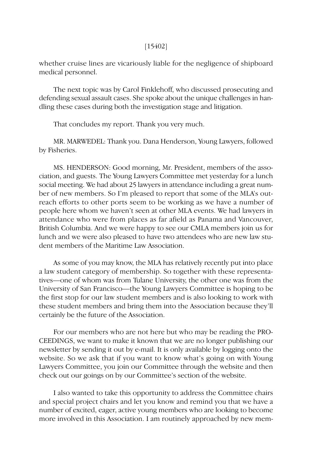### [15402]

whether cruise lines are vicariously liable for the negligence of shipboard medical personnel.

The next topic was by Carol Finklehoff, who discussed prosecuting and defending sexual assault cases. She spoke about the unique challenges in handling these cases during both the investigation stage and litigation.

That concludes my report. Thank you very much.

MR. MARWEDEL: Thank you. Dana Henderson, Young Lawyers, followed by Fisheries.

MS. HENDERSON: Good morning, Mr. President, members of the association, and guests. The Young Lawyers Committee met yesterday for a lunch social meeting. We had about 25 lawyers in attendance including a great number of new members. So I'm pleased to report that some of the MLA's outreach efforts to other ports seem to be working as we have a number of people here whom we haven't seen at other MLA events. We had lawyers in attendance who were from places as far afield as Panama and Vancouver, British Columbia. And we were happy to see our CMLA members join us for lunch and we were also pleased to have two attendees who are new law student members of the Maritime Law Association.

As some of you may know, the MLA has relatively recently put into place a law student category of membership. So together with these representatives—one of whom was from Tulane University, the other one was from the University of San Francisco—the Young Lawyers Committee is hoping to be the first stop for our law student members and is also looking to work with these student members and bring them into the Association because they'll certainly be the future of the Association.

For our members who are not here but who may be reading the PRO-CEEDINGS, we want to make it known that we are no longer publishing our newsletter by sending it out by e-mail. It is only available by logging onto the website. So we ask that if you want to know what's going on with Young Lawyers Committee, you join our Committee through the website and then check out our goings on by our Committee's section of the website.

I also wanted to take this opportunity to address the Committee chairs and special project chairs and let you know and remind you that we have a number of excited, eager, active young members who are looking to become more involved in this Association. I am routinely approached by new mem-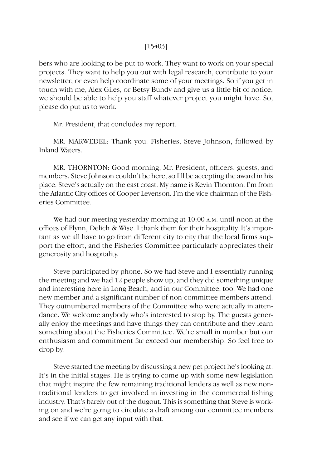### [15403]

bers who are looking to be put to work. They want to work on your special projects. They want to help you out with legal research, contribute to your newsletter, or even help coordinate some of your meetings. So if you get in touch with me, Alex Giles, or Betsy Bundy and give us a little bit of notice, we should be able to help you staff whatever project you might have. So, please do put us to work.

Mr. President, that concludes my report.

MR. MARWEDEL: Thank you. Fisheries, Steve Johnson, followed by Inland Waters.

MR. THORNTON: Good morning, Mr. President, officers, guests, and members. Steve Johnson couldn't be here, so I'll be accepting the award in his place. Steve's actually on the east coast. My name is Kevin Thornton. I'm from the Atlantic City offices of Cooper Levenson. I'm the vice chairman of the Fisheries Committee.

We had our meeting yesterday morning at 10:00 A.M. until noon at the offices of Flynn, Delich & Wise. I thank them for their hospitality. It's important as we all have to go from different city to city that the local firms support the effort, and the Fisheries Committee particularly appreciates their generosity and hospitality.

Steve participated by phone. So we had Steve and I essentially running the meeting and we had 12 people show up, and they did something unique and interesting here in Long Beach, and in our Committee, too. We had one new member and a significant number of non-committee members attend. They outnumbered members of the Committee who were actually in attendance. We welcome anybody who's interested to stop by. The guests generally enjoy the meetings and have things they can contribute and they learn something about the Fisheries Committee. We're small in number but our enthusiasm and commitment far exceed our membership. So feel free to drop by.

Steve started the meeting by discussing a new pet project he's looking at. It's in the initial stages. He is trying to come up with some new legislation that might inspire the few remaining traditional lenders as well as new nontraditional lenders to get involved in investing in the commercial fishing industry. That's barely out of the dugout. This is something that Steve is working on and we're going to circulate a draft among our committee members and see if we can get any input with that.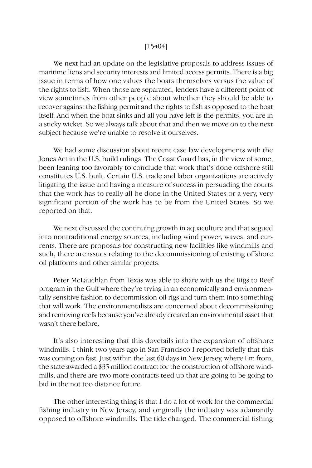#### [15404]

We next had an update on the legislative proposals to address issues of maritime liens and security interests and limited access permits. There is a big issue in terms of how one values the boats themselves versus the value of the rights to fish. When those are separated, lenders have a different point of view sometimes from other people about whether they should be able to recover against the fishing permit and the rights to fish as opposed to the boat itself. And when the boat sinks and all you have left is the permits, you are in a sticky wicket. So we always talk about that and then we move on to the next subject because we're unable to resolve it ourselves.

We had some discussion about recent case law developments with the Jones Act in the U.S. build rulings. The Coast Guard has, in the view of some, been leaning too favorably to conclude that work that's done offshore still constitutes U.S. built. Certain U.S. trade and labor organizations are actively litigating the issue and having a measure of success in persuading the courts that the work has to really all be done in the United States or a very, very significant portion of the work has to be from the United States. So we reported on that.

We next discussed the continuing growth in aquaculture and that segued into nontraditional energy sources, including wind power, waves, and currents. There are proposals for constructing new facilities like windmills and such, there are issues relating to the decommissioning of existing offshore oil platforms and other similar projects.

Peter McLauchlan from Texas was able to share with us the Rigs to Reef program in the Gulf where they're trying in an economically and environmentally sensitive fashion to decommission oil rigs and turn them into something that will work. The environmentalists are concerned about decommissioning and removing reefs because you've already created an environmental asset that wasn't there before.

It's also interesting that this dovetails into the expansion of offshore windmills. I think two years ago in San Francisco I reported briefly that this was coming on fast. Just within the last 60 days in New Jersey, where I'm from, the state awarded a \$35 million contract for the construction of offshore windmills, and there are two more contracts teed up that are going to be going to bid in the not too distance future.

The other interesting thing is that I do a lot of work for the commercial fishing industry in New Jersey, and originally the industry was adamantly opposed to offshore windmills. The tide changed. The commercial fishing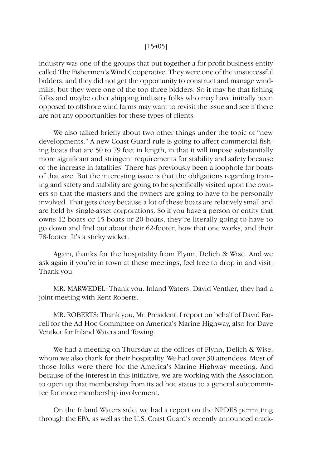### [15405]

industry was one of the groups that put together a for-profit business entity called The Fishermen's Wind Cooperative. They were one of the unsuccessful bidders, and they did not get the opportunity to construct and manage windmills, but they were one of the top three bidders. So it may be that fishing folks and maybe other shipping industry folks who may have initially been opposed to offshore wind farms may want to revisit the issue and see if there are not any opportunities for these types of clients.

We also talked briefly about two other things under the topic of "new developments." A new Coast Guard rule is going to affect commercial fishing boats that are 50 to 79 feet in length, in that it will impose substantially more significant and stringent requirements for stability and safety because of the increase in fatalities. There has previously been a loophole for boats of that size. But the interesting issue is that the obligations regarding training and safety and stability are going to be specifically visited upon the owners so that the masters and the owners are going to have to be personally involved. That gets dicey because a lot of these boats are relatively small and are held by single-asset corporations. So if you have a person or entity that owns 12 boats or 15 boats or 20 boats, they're literally going to have to go down and find out about their 62-footer, how that one works, and their 78-footer. It's a sticky wicket.

Again, thanks for the hospitality from Flynn, Delich & Wise. And we ask again if you're in town at these meetings, feel free to drop in and visit. Thank you.

MR. MARWEDEL: Thank you. Inland Waters, David Ventker, they had a joint meeting with Kent Roberts.

MR. ROBERTS: Thank you, Mr. President. I report on behalf of David Farrell for the Ad Hoc Committee on America's Marine Highway, also for Dave Ventker for Inland Waters and Towing.

We had a meeting on Thursday at the offices of Flynn, Delich & Wise, whom we also thank for their hospitality. We had over 30 attendees. Most of those folks were there for the America's Marine Highway meeting. And because of the interest in this initiative, we are working with the Association to open up that membership from its ad hoc status to a general subcommittee for more membership involvement.

On the Inland Waters side, we had a report on the NPDES permitting through the EPA, as well as the U.S. Coast Guard's recently announced crack-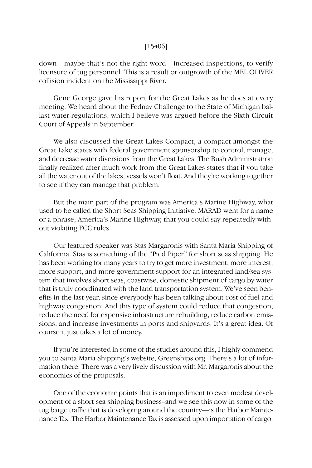### [15406]

down—maybe that's not the right word—increased inspections, to verify licensure of tug personnel. This is a result or outgrowth of the MEL OLIVER collision incident on the Mississippi River.

Gene George gave his report for the Great Lakes as he does at every meeting. We heard about the Fednav Challenge to the State of Michigan ballast water regulations, which I believe was argued before the Sixth Circuit Court of Appeals in September.

We also discussed the Great Lakes Compact, a compact amongst the Great Lake states with federal government sponsorship to control, manage, and decrease water diversions from the Great Lakes. The Bush Administration finally realized after much work from the Great Lakes states that if you take all the water out of the lakes, vessels won't float. And they're working together to see if they can manage that problem.

But the main part of the program was America's Marine Highway, what used to be called the Short Seas Shipping Initiative. MARAD went for a name or a phrase, America's Marine Highway, that you could say repeatedly without violating FCC rules.

Our featured speaker was Stas Margaronis with Santa Maria Shipping of California. Stas is something of the "Pied Piper" for short seas shipping. He has been working for many years to try to get more investment, more interest, more support, and more government support for an integrated land/sea system that involves short seas, coastwise, domestic shipment of cargo by water that is truly coordinated with the land transportation system. We've seen benefits in the last year, since everybody has been talking about cost of fuel and highway congestion. And this type of system could reduce that congestion, reduce the need for expensive infrastructure rebuilding, reduce carbon emissions, and increase investments in ports and shipyards. It's a great idea. Of course it just takes a lot of money.

If you're interested in some of the studies around this, I highly commend you to Santa Maria Shipping's website, Greenships.org. There's a lot of information there. There was a very lively discussion with Mr. Margaronis about the economics of the proposals.

One of the economic points that is an impediment to even modest development of a short sea shipping business–and we see this now in some of the tug barge traffic that is developing around the country—is the Harbor Maintenance Tax. The Harbor Maintenance Tax is assessed upon importation of cargo.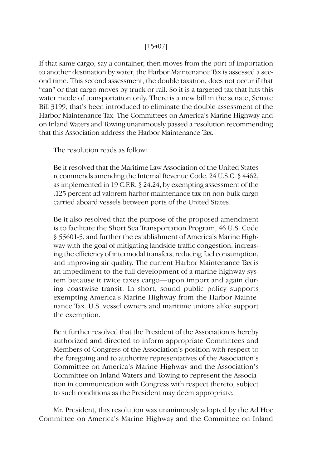# [15407]

If that same cargo, say a container, then moves from the port of importation to another destination by water, the Harbor Maintenance Tax is assessed a second time. This second assessment, the double taxation, does not occur if that "can" or that cargo moves by truck or rail. So it is a targeted tax that hits this water mode of transportation only. There is a new bill in the senate, Senate Bill 3199, that's been introduced to eliminate the double assessment of the Harbor Maintenance Tax. The Committees on America's Marine Highway and on Inland Waters and Towing unanimously passed a resolution recommending that this Association address the Harbor Maintenance Tax.

The resolution reads as follow:

Be it resolved that the Maritime Law Association of the United States recommends amending the Internal Revenue Code, 24 U.S.C. § 4462, as implemented in 19 C.F.R. § 24.24, by exempting assessment of the .125 percent ad valorem harbor maintenance tax on non-bulk cargo carried aboard vessels between ports of the United States.

Be it also resolved that the purpose of the proposed amendment is to facilitate the Short Sea Transportation Program, 46 U.S. Code § 55601-5, and further the establishment of America's Marine Highway with the goal of mitigating landside traffic congestion, increasing the efficiency of intermodal transfers, reducing fuel consumption, and improving air quality. The current Harbor Maintenance Tax is an impediment to the full development of a marine highway system because it twice taxes cargo—upon import and again during coastwise transit. In short, sound public policy supports exempting America's Marine Highway from the Harbor Maintenance Tax. U.S. vessel owners and maritime unions alike support the exemption.

Be it further resolved that the President of the Association is hereby authorized and directed to inform appropriate Committees and Members of Congress of the Association's position with respect to the foregoing and to authorize representatives of the Association's Committee on America's Marine Highway and the Association's Committee on Inland Waters and Towing to represent the Association in communication with Congress with respect thereto, subject to such conditions as the President may deem appropriate.

Mr. President, this resolution was unanimously adopted by the Ad Hoc Committee on America's Marine Highway and the Committee on Inland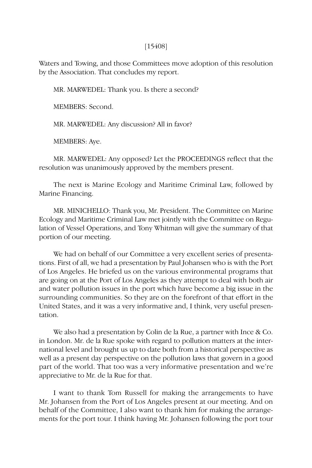#### [15408]

Waters and Towing, and those Committees move adoption of this resolution by the Association. That concludes my report.

MR. MARWEDEL: Thank you. Is there a second?

MEMBERS: Second.

MR. MARWEDEL: Any discussion? All in favor?

MEMBERS: Aye.

MR. MARWEDEL: Any opposed? Let the PROCEEDINGS reflect that the resolution was unanimously approved by the members present.

The next is Marine Ecology and Maritime Criminal Law, followed by Marine Financing.

MR. MINICHELLO: Thank you, Mr. President. The Committee on Marine Ecology and Maritime Criminal Law met jointly with the Committee on Regulation of Vessel Operations, and Tony Whitman will give the summary of that portion of our meeting.

We had on behalf of our Committee a very excellent series of presentations. First of all, we had a presentation by Paul Johansen who is with the Port of Los Angeles. He briefed us on the various environmental programs that are going on at the Port of Los Angeles as they attempt to deal with both air and water pollution issues in the port which have become a big issue in the surrounding communities. So they are on the forefront of that effort in the United States, and it was a very informative and, I think, very useful presentation.

We also had a presentation by Colin de la Rue, a partner with Ince & Co. in London. Mr. de la Rue spoke with regard to pollution matters at the international level and brought us up to date both from a historical perspective as well as a present day perspective on the pollution laws that govern in a good part of the world. That too was a very informative presentation and we're appreciative to Mr. de la Rue for that.

I want to thank Tom Russell for making the arrangements to have Mr. Johansen from the Port of Los Angeles present at our meeting. And on behalf of the Committee, I also want to thank him for making the arrangements for the port tour. I think having Mr. Johansen following the port tour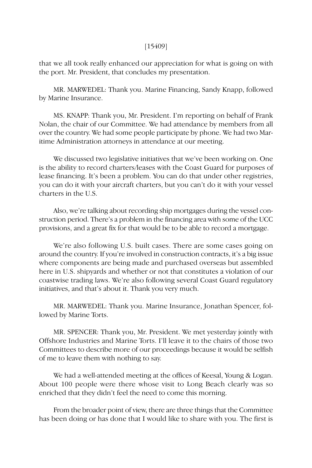### [15409]

that we all took really enhanced our appreciation for what is going on with the port. Mr. President, that concludes my presentation.

MR. MARWEDEL: Thank you. Marine Financing, Sandy Knapp, followed by Marine Insurance.

MS. KNAPP: Thank you, Mr. President. I'm reporting on behalf of Frank Nolan, the chair of our Committee. We had attendance by members from all over the country. We had some people participate by phone. We had two Maritime Administration attorneys in attendance at our meeting.

We discussed two legislative initiatives that we've been working on. One is the ability to record charters/leases with the Coast Guard for purposes of lease financing. It's been a problem. You can do that under other registries, you can do it with your aircraft charters, but you can't do it with your vessel charters in the U.S.

Also, we're talking about recording ship mortgages during the vessel construction period. There's a problem in the financing area with some of the UCC provisions, and a great fix for that would be to be able to record a mortgage.

We're also following U.S. built cases. There are some cases going on around the country. If you're involved in construction contracts, it's a big issue where components are being made and purchased overseas but assembled here in U.S. shipyards and whether or not that constitutes a violation of our coastwise trading laws. We're also following several Coast Guard regulatory initiatives, and that's about it. Thank you very much.

MR. MARWEDEL: Thank you. Marine Insurance, Jonathan Spencer, followed by Marine Torts.

MR. SPENCER: Thank you, Mr. President. We met yesterday jointly with Offshore Industries and Marine Torts. I'll leave it to the chairs of those two Committees to describe more of our proceedings because it would be selfish of me to leave them with nothing to say.

We had a well-attended meeting at the offices of Keesal, Young & Logan. About 100 people were there whose visit to Long Beach clearly was so enriched that they didn't feel the need to come this morning.

From the broader point of view, there are three things that the Committee has been doing or has done that I would like to share with you. The first is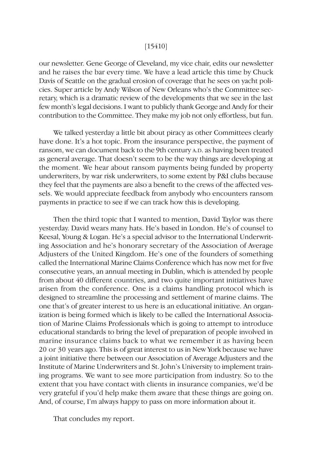### [15410]

our newsletter. Gene George of Cleveland, my vice chair, edits our newsletter and he raises the bar every time. We have a lead article this time by Chuck Davis of Seattle on the gradual erosion of coverage that he sees on yacht policies. Super article by Andy Wilson of New Orleans who's the Committee secretary, which is a dramatic review of the developments that we see in the last few month's legal decisions. I want to publicly thank George and Andy for their contribution to the Committee. They make my job not only effortless, but fun.

We talked yesterday a little bit about piracy as other Committees clearly have done. It's a hot topic. From the insurance perspective, the payment of ransom, we can document back to the 9th century A.D. as having been treated as general average. That doesn't seem to be the way things are developing at the moment. We hear about ransom payments being funded by property underwriters, by war risk underwriters, to some extent by P&I clubs because they feel that the payments are also a benefit to the crews of the affected vessels. We would appreciate feedback from anybody who encounters ransom payments in practice to see if we can track how this is developing.

Then the third topic that I wanted to mention, David Taylor was there yesterday. David wears many hats. He's based in London. He's of counsel to Keesal, Young & Logan. He's a special advisor to the International Underwriting Association and he's honorary secretary of the Association of Average Adjusters of the United Kingdom. He's one of the founders of something called the International Marine Claims Conference which has now met for five consecutive years, an annual meeting in Dublin, which is attended by people from about 40 different countries, and two quite important initiatives have arisen from the conference. One is a claims handling protocol which is designed to streamline the processing and settlement of marine claims. The one that's of greater interest to us here is an educational initiative. An organization is being formed which is likely to be called the International Association of Marine Claims Professionals which is going to attempt to introduce educational standards to bring the level of preparation of people involved in marine insurance claims back to what we remember it as having been 20 or 30 years ago. This is of great interest to us in New York because we have a joint initiative there between our Association of Average Adjusters and the Institute of Marine Underwriters and St. John's University to implement training programs. We want to see more participation from industry. So to the extent that you have contact with clients in insurance companies, we'd be very grateful if you'd help make them aware that these things are going on. And, of course, I'm always happy to pass on more information about it.

That concludes my report.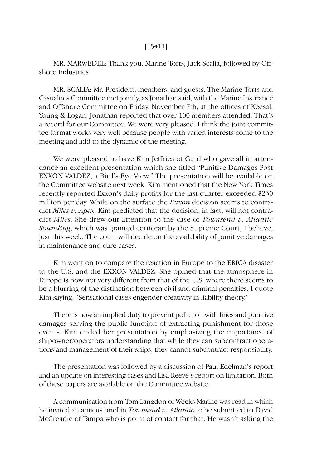# [15411]

MR. MARWEDEL: Thank you. Marine Torts, Jack Scalia, followed by Offshore Industries.

MR. SCALIA: Mr. President, members, and guests. The Marine Torts and Casualties Committee met jointly, as Jonathan said, with the Marine Insurance and Offshore Committee on Friday, November 7th, at the offices of Keesal, Young & Logan. Jonathan reported that over 100 members attended. That's a record for our Committee. We were very pleased. I think the joint committee format works very well because people with varied interests come to the meeting and add to the dynamic of the meeting.

We were pleased to have Kim Jeffries of Gard who gave all in attendance an excellent presentation which she titled "Punitive Damages Post EXXON VALDEZ, a Bird's Eye View." The presentation will be available on the Committee website next week. Kim mentioned that the New York Times recently reported Exxon's daily profits for the last quarter exceeded \$230 million per day. While on the surface the *Exxon* decision seems to contradict *Miles v. Apex*, Kim predicted that the decision, in fact, will not contradict *Miles*. She drew our attention to the case of *Townsend v. Atlantic Sounding*, which was granted certiorari by the Supreme Court, I believe, just this week. The court will decide on the availability of punitive damages in maintenance and cure cases.

Kim went on to compare the reaction in Europe to the ERICA disaster to the U.S. and the EXXON VALDEZ. She opined that the atmosphere in Europe is now not very different from that of the U.S. where there seems to be a blurring of the distinction between civil and criminal penalties. I quote Kim saying, "Sensational cases engender creativity in liability theory."

There is now an implied duty to prevent pollution with fines and punitive damages serving the public function of extracting punishment for those events. Kim ended her presentation by emphasizing the importance of shipowner/operators understanding that while they can subcontract operations and management of their ships, they cannot subcontract responsibility.

The presentation was followed by a discussion of Paul Edelman's report and an update on interesting cases and Lisa Reeve's report on limitation. Both of these papers are available on the Committee website.

A communication from Tom Langdon of Weeks Marine was read in which he invited an amicus brief in *Townsend v. Atlantic* to be submitted to David McCreadie of Tampa who is point of contact for that. He wasn't asking the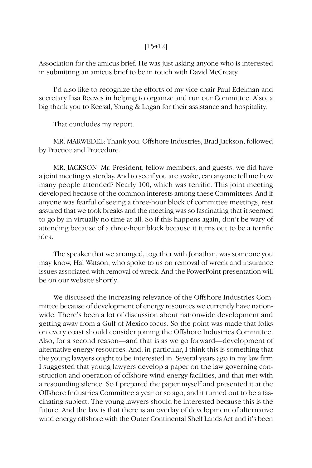# [15412]

Association for the amicus brief. He was just asking anyone who is interested in submitting an amicus brief to be in touch with David McCreaty.

I'd also like to recognize the efforts of my vice chair Paul Edelman and secretary Lisa Reeves in helping to organize and run our Committee. Also, a big thank you to Keesal, Young & Logan for their assistance and hospitality.

That concludes my report.

MR. MARWEDEL: Thank you. Offshore Industries, Brad Jackson, followed by Practice and Procedure.

MR. JACKSON: Mr. President, fellow members, and guests, we did have a joint meeting yesterday. And to see if you are awake, can anyone tell me how many people attended? Nearly 100, which was terrific. This joint meeting developed because of the common interests among these Committees. And if anyone was fearful of seeing a three-hour block of committee meetings, rest assured that we took breaks and the meeting was so fascinating that it seemed to go by in virtually no time at all. So if this happens again, don't be wary of attending because of a three-hour block because it turns out to be a terrific idea.

The speaker that we arranged, together with Jonathan, was someone you may know, Hal Watson, who spoke to us on removal of wreck and insurance issues associated with removal of wreck. And the PowerPoint presentation will be on our website shortly.

We discussed the increasing relevance of the Offshore Industries Committee because of development of energy resources we currently have nationwide. There's been a lot of discussion about nationwide development and getting away from a Gulf of Mexico focus. So the point was made that folks on every coast should consider joining the Offshore Industries Committee. Also, for a second reason—and that is as we go forward—development of alternative energy resources. And, in particular, I think this is something that the young lawyers ought to be interested in. Several years ago in my law firm I suggested that young lawyers develop a paper on the law governing construction and operation of offshore wind energy facilities, and that met with a resounding silence. So I prepared the paper myself and presented it at the Offshore Industries Committee a year or so ago, and it turned out to be a fascinating subject. The young lawyers should be interested because this is the future. And the law is that there is an overlay of development of alternative wind energy offshore with the Outer Continental Shelf Lands Act and it's been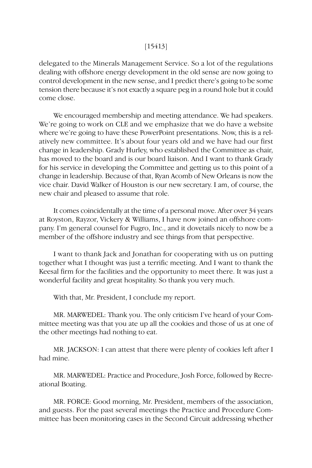# [15413]

delegated to the Minerals Management Service. So a lot of the regulations dealing with offshore energy development in the old sense are now going to control development in the new sense, and I predict there's going to be some tension there because it's not exactly a square peg in a round hole but it could come close.

We encouraged membership and meeting attendance. We had speakers. We're going to work on CLE and we emphasize that we do have a website where we're going to have these PowerPoint presentations. Now, this is a relatively new committee. It's about four years old and we have had our first change in leadership. Grady Hurley, who established the Committee as chair, has moved to the board and is our board liaison. And I want to thank Grady for his service in developing the Committee and getting us to this point of a change in leadership. Because of that, Ryan Acomb of New Orleans is now the vice chair. David Walker of Houston is our new secretary. I am, of course, the new chair and pleased to assume that role.

It comes coincidentally at the time of a personal move. After over 34 years at Royston, Rayzor, Vickery & Williams, I have now joined an offshore company. I'm general counsel for Fugro, Inc., and it dovetails nicely to now be a member of the offshore industry and see things from that perspective.

I want to thank Jack and Jonathan for cooperating with us on putting together what I thought was just a terrific meeting. And I want to thank the Keesal firm for the facilities and the opportunity to meet there. It was just a wonderful facility and great hospitality. So thank you very much.

With that, Mr. President, I conclude my report.

MR. MARWEDEL: Thank you. The only criticism I've heard of your Committee meeting was that you ate up all the cookies and those of us at one of the other meetings had nothing to eat.

MR. JACKSON: I can attest that there were plenty of cookies left after I had mine.

MR. MARWEDEL: Practice and Procedure, Josh Force, followed by Recreational Boating.

MR. FORCE: Good morning, Mr. President, members of the association, and guests. For the past several meetings the Practice and Procedure Committee has been monitoring cases in the Second Circuit addressing whether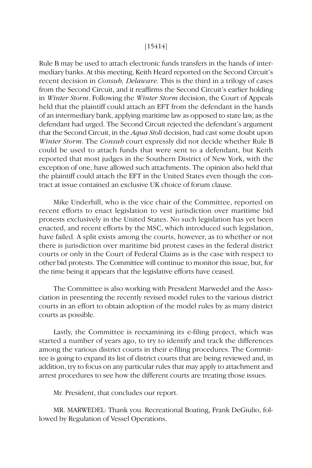# [15414]

Rule B may be used to attach electronic funds transfers in the hands of intermediary banks. At this meeting, Keith Heard reported on the Second Circuit's recent decision in *Consub, Delaware*. This is the third in a trilogy of cases from the Second Circuit, and it reaffirms the Second Circuit's earlier holding in *Winter Storm*. Following the *Winter Storm* decision, the Court of Appeals held that the plaintiff could attach an EFT from the defendant in the hands of an intermediary bank, applying maritime law as opposed to state law, as the defendant had urged. The Second Circuit rejected the defendant's argument that the Second Circuit, in the *Aqua Stoli* decision, had cast some doubt upon *Winter Storm*. The *Consub* court expressly did not decide whether Rule B could be used to attach funds that were sent to a defendant, but Keith reported that most judges in the Southern District of New York, with the exception of one, have allowed such attachments. The opinion also held that the plaintiff could attach the EFT in the United States even though the contract at issue contained an exclusive UK choice of forum clause.

Mike Underhill, who is the vice chair of the Committee, reported on recent efforts to enact legislation to vest jurisdiction over maritime bid protests exclusively in the United States. No such legislation has yet been enacted, and recent efforts by the MSC, which introduced such legislation, have failed. A split exists among the courts, however, as to whether or not there is jurisdiction over maritime bid protest cases in the federal district courts or only in the Court of Federal Claims as is the case with respect to other bid protests. The Committee will continue to monitor this issue, but, for the time being it appears that the legislative efforts have ceased.

The Committee is also working with President Marwedel and the Association in presenting the recently revised model rules to the various district courts in an effort to obtain adoption of the model rules by as many district courts as possible.

Lastly, the Committee is reexamining its e-filing project, which was started a number of years ago, to try to identify and track the differences among the various district courts in their e-filing procedures. The Committee is going to expand its list of district courts that are being reviewed and, in addition, try to focus on any particular rules that may apply to attachment and arrest procedures to see how the different courts are treating those issues.

Mr. President, that concludes our report.

MR. MARWEDEL: Thank you. Recreational Boating, Frank DeGiulio, followed by Regulation of Vessel Operations.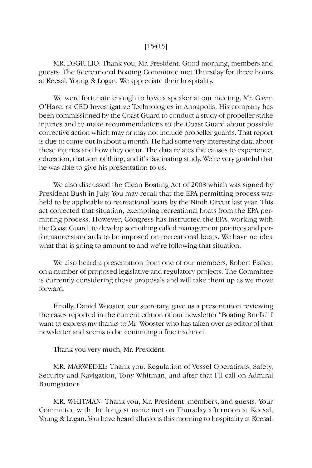# [15415]

MR. DEGIULIO: Thank you, Mr. President. Good morning, members and guests. The Recreational Boating Committee met Thursday for three hours at Keesal, Young & Logan. We appreciate their hospitality.

We were fortunate enough to have a speaker at our meeting, Mr. Gavin O'Hare, of CED Investigative Technologies in Annapolis. His company has been commissioned by the Coast Guard to conduct a study of propeller strike injuries and to make recommendations to the Coast Guard about possible corrective action which may or may not include propeller guards. That report is due to come out in about a month. He had some very interesting data about these injuries and how they occur. The data relates the causes to experience, education, that sort of thing, and it's fascinating study. We're very grateful that he was able to give his presentation to us.

We also discussed the Clean Boating Act of 2008 which was signed by President Bush in July. You may recall that the EPA permitting process was held to be applicable to recreational boats by the Ninth Circuit last year. This act corrected that situation, exempting recreational boats from the EPA permitting process. However, Congress has instructed the EPA, working with the Coast Guard, to develop something called management practices and performance standards to be imposed on recreational boats. We have no idea what that is going to amount to and we're following that situation.

We also heard a presentation from one of our members, Robert Fisher, on a number of proposed legislative and regulatory projects. The Committee is currently considering those proposals and will take them up as we move forward.

Finally, Daniel Wooster, our secretary, gave us a presentation reviewing the cases reported in the current edition of our newsletter "Boating Briefs." I want to express my thanks to Mr. Wooster who has taken over as editor of that newsletter and seems to be continuing a fine tradition.

Thank you very much, Mr. President.

MR. MARWEDEL: Thank you. Regulation of Vessel Operations, Safety, Security and Navigation, Tony Whitman, and after that I'll call on Admiral Baumgartner.

MR. WHITMAN: Thank you, Mr. President, members, and guests. Your Committee with the longest name met on Thursday afternoon at Keesal, Young & Logan. You have heard allusions this morning to hospitality at Keesal,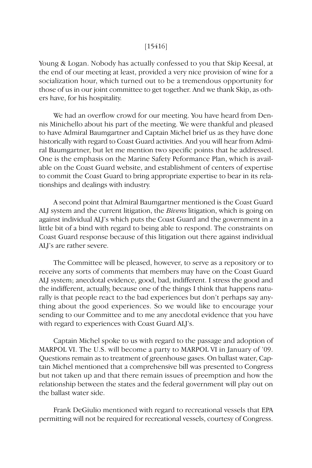## [15416]

Young & Logan. Nobody has actually confessed to you that Skip Keesal, at the end of our meeting at least, provided a very nice provision of wine for a socialization hour, which turned out to be a tremendous opportunity for those of us in our joint committee to get together. And we thank Skip, as others have, for his hospitality.

We had an overflow crowd for our meeting. You have heard from Dennis Minichello about his part of the meeting. We were thankful and pleased to have Admiral Baumgartner and Captain Michel brief us as they have done historically with regard to Coast Guard activities. And you will hear from Admiral Baumgartner, but let me mention two specific points that he addressed. One is the emphasis on the Marine Safety Peformance Plan, which is available on the Coast Guard website, and establishment of centers of expertise to commit the Coast Guard to bring appropriate expertise to bear in its relationships and dealings with industry.

A second point that Admiral Baumgartner mentioned is the Coast Guard ALJ system and the current litigation, the *Bivens* litigation, which is going on against individual ALJ's which puts the Coast Guard and the government in a little bit of a bind with regard to being able to respond. The constraints on Coast Guard response because of this litigation out there against individual ALJ's are rather severe.

The Committee will be pleased, however, to serve as a repository or to receive any sorts of comments that members may have on the Coast Guard ALJ system; anecdotal evidence, good, bad, indifferent. I stress the good and the indifferent, actually, because one of the things I think that happens naturally is that people react to the bad experiences but don't perhaps say anything about the good experiences. So we would like to encourage your sending to our Committee and to me any anecdotal evidence that you have with regard to experiences with Coast Guard ALJ's.

Captain Michel spoke to us with regard to the passage and adoption of MARPOL VI. The U.S. will become a party to MARPOL VI in January of '09. Questions remain as to treatment of greenhouse gases. On ballast water, Captain Michel mentioned that a comprehensive bill was presented to Congress but not taken up and that there remain issues of preemption and how the relationship between the states and the federal government will play out on the ballast water side.

Frank DeGiulio mentioned with regard to recreational vessels that EPA permitting will not be required for recreational vessels, courtesy of Congress.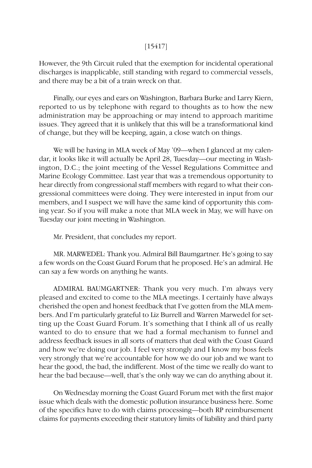# [15417]

However, the 9th Circuit ruled that the exemption for incidental operational discharges is inapplicable, still standing with regard to commercial vessels, and there may be a bit of a train wreck on that.

Finally, our eyes and ears on Washington, Barbara Burke and Larry Kiern, reported to us by telephone with regard to thoughts as to how the new administration may be approaching or may intend to approach maritime issues. They agreed that it is unlikely that this will be a transformational kind of change, but they will be keeping, again, a close watch on things.

We will be having in MLA week of May '09—when I glanced at my calendar, it looks like it will actually be April 28, Tuesday—our meeting in Washington, D.C.; the joint meeting of the Vessel Regulations Committee and Marine Ecology Committee. Last year that was a tremendous opportunity to hear directly from congressional staff members with regard to what their congressional committees were doing. They were interested in input from our members, and I suspect we will have the same kind of opportunity this coming year. So if you will make a note that MLA week in May, we will have on Tuesday our joint meeting in Washington.

Mr. President, that concludes my report.

MR. MARWEDEL: Thank you. Admiral Bill Baumgartner. He's going to say a few words on the Coast Guard Forum that he proposed. He's an admiral. He can say a few words on anything he wants.

ADMIRAL BAUMGARTNER: Thank you very much. I'm always very pleased and excited to come to the MLA meetings. I certainly have always cherished the open and honest feedback that I've gotten from the MLA members. And I'm particularly grateful to Liz Burrell and Warren Marwedel for setting up the Coast Guard Forum. It's something that I think all of us really wanted to do to ensure that we had a formal mechanism to funnel and address feedback issues in all sorts of matters that deal with the Coast Guard and how we're doing our job. I feel very strongly and I know my boss feels very strongly that we're accountable for how we do our job and we want to hear the good, the bad, the indifferent. Most of the time we really do want to hear the bad because—well, that's the only way we can do anything about it.

On Wednesday morning the Coast Guard Forum met with the first major issue which deals with the domestic pollution insurance business here. Some of the specifics have to do with claims processing—both RP reimbursement claims for payments exceeding their statutory limits of liability and third party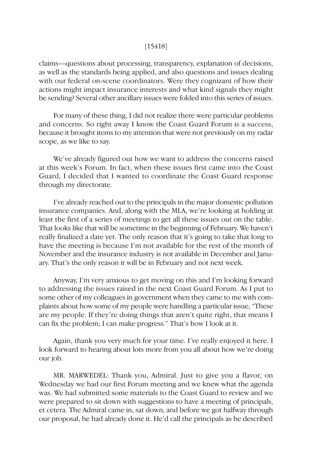### [15418]

claims—questions about processing, transparency, explanation of decisions, as well as the standards being applied, and also questions and issues dealing with our federal on-scene coordinators. Were they cognizant of how their actions might impact insurance interests and what kind signals they might be sending? Several other ancillary issues were folded into this series of issues.

For many of these thing, I did not realize there were particular problems and concerns. So right away I know the Coast Guard Forum is a success, because it brought items to my attention that were not previously on my radar scope, as we like to say.

We've already figured out how we want to address the concerns raised at this week's Forum. In fact, when these issues first came into the Coast Guard, I decided that I wanted to coordinate the Coast Guard response through my directorate.

I've already reached out to the principals in the major domestic pollution insurance companies. And, along with the MLA, we're looking at holding at least the first of a series of meetings to get all these issues out on the table. That looks like that will be sometime in the beginning of February. We haven't really finalized a date yet. The only reason that it's going to take that long to have the meeting is because I'm not available for the rest of the month of November and the insurance industry is not available in December and January. That's the only reason it will be in February and not next week.

Anyway, I'm very anxious to get moving on this and I'm looking forward to addressing the issues raised in the next Coast Guard Forum. As I put to some other of my colleagues in government when they came to me with complaints about how some of my people were handling a particular issue, "These are my people. If they're doing things that aren't quite right, that means I can fix the problem; I can make progress." That's how I look at it.

Again, thank you very much for your time. I've really enjoyed it here. I look forward to hearing about lots more from you all about how we're doing our job.

MR. MARWEDEL: Thank you, Admiral. Just to give you a flavor, on Wednesday we had our first Forum meeting and we knew what the agenda was. We had submitted some materials to the Coast Guard to review and we were prepared to sit down with suggestions to have a meeting of principals, et cetera. The Admiral came in, sat down, and before we got halfway through our proposal, he had already done it. He'd call the principals as he described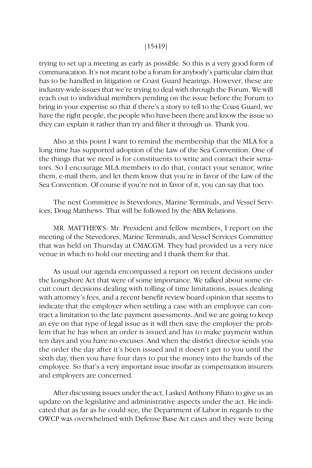### [15419]

trying to set up a meeting as early as possible. So this is a very good form of communication. It's not meant to be a forum for anybody's particular claim that has to be handled in litigation or Coast Guard hearings. However, these are industry-wide issues that we're trying to deal with through the Forum. We will reach out to individual members pending on the issue before the Forum to bring in your expertise so that if there's a story to tell to the Coast Guard, we have the right people, the people who have been there and know the issue so they can explain it rather than try and filter it through us. Thank you.

Also at this point I want to remind the membership that the MLA for a long time has supported adoption of the Law of the Sea Convention. One of the things that we need is for constituents to write and contact their senators. So I encourage MLA members to do that, contact your senator, write them, e-mail them, and let them know that you're in favor of the Law of the Sea Convention. Of course if you're not in favor of it, you can say that too.

The next Committee is Stevedores, Marine Terminals, and Vessel Services, Doug Matthews. That will be followed by the ABA Relations.

MR. MATTHEWS: Mr. President and fellow members, I report on the meeting of the Stevedores, Marine Terminals, and Vessel Services Committee that was held on Thursday at CMACGM. They had provided us a very nice venue in which to hold our meeting and I thank them for that.

As usual our agenda encompassed a report on recent decisions under the Longshore Act that were of some importance. We talked about some circuit court decisions dealing with tolling of time limitations, issues dealing with attorney's fees, and a recent benefit review board opinion that seems to indicate that the employer when settling a case with an employee can contract a limitation to the late payment assessments. And we are going to keep an eye on that type of legal issue as it will then save the employer the problem that he has when an order is issued and has to make payment within ten days and you have no excuses. And when the district director sends you the order the day after it's been issued and it doesn't get to you until the sixth day, then you have four days to put the money into the hands of the employee. So that's a very important issue insofar as compensation insurers and employers are concerned.

After discussing issues under the act, I asked Anthony Filiato to give us an update on the legislative and administrative aspects under the act. He indicated that as far as he could see, the Department of Labor in regards to the OWCP was overwhelmed with Defense Base Act cases and they were being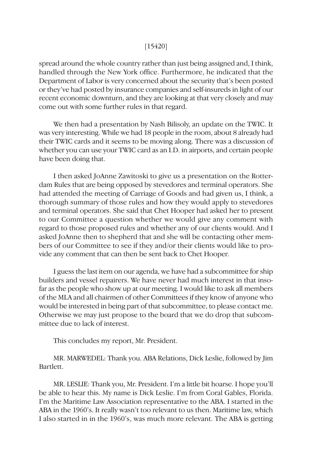### [15420]

spread around the whole country rather than just being assigned and, I think, handled through the New York office. Furthermore, he indicated that the Department of Labor is very concerned about the security that's been posted or they've had posted by insurance companies and self-insureds in light of our recent economic downturn, and they are looking at that very closely and may come out with some further rules in that regard.

We then had a presentation by Nash Bilisoly, an update on the TWIC. It was very interesting. While we had 18 people in the room, about 8 already had their TWIC cards and it seems to be moving along. There was a discussion of whether you can use your TWIC card as an I.D. in airports, and certain people have been doing that.

I then asked JoAnne Zawitoski to give us a presentation on the Rotterdam Rules that are being opposed by stevedores and terminal operators. She had attended the meeting of Carriage of Goods and had given us, I think, a thorough summary of those rules and how they would apply to stevedores and terminal operators. She said that Chet Hooper had asked her to present to our Committee a question whether we would give any comment with regard to those proposed rules and whether any of our clients would. And I asked JoAnne then to shepherd that and she will be contacting other members of our Committee to see if they and/or their clients would like to provide any comment that can then be sent back to Chet Hooper.

I guess the last item on our agenda, we have had a subcommittee for ship builders and vessel repairers. We have never had much interest in that insofar as the people who show up at our meeting. I would like to ask all members of the MLA and all chairmen of other Committees if they know of anyone who would be interested in being part of that subcommittee, to please contact me. Otherwise we may just propose to the board that we do drop that subcommittee due to lack of interest.

This concludes my report, Mr. President.

MR. MARWEDEL: Thank you. ABA Relations, Dick Leslie, followed by Jim Bartlett.

MR. LESLIE: Thank you, Mr. President. I'm a little bit hoarse. I hope you'll be able to hear this. My name is Dick Leslie. I'm from Coral Gables, Florida. I'm the Maritime Law Association representative to the ABA. I started in the ABA in the 1960's. It really wasn't too relevant to us then. Maritime law, which I also started in in the 1960's, was much more relevant. The ABA is getting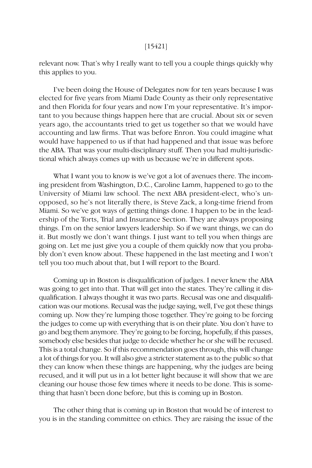relevant now. That's why I really want to tell you a couple things quickly why this applies to you.

I've been doing the House of Delegates now for ten years because I was elected for five years from Miami Dade County as their only representative and then Florida for four years and now I'm your representative. It's important to you because things happen here that are crucial. About six or seven years ago, the accountants tried to get us together so that we would have accounting and law firms. That was before Enron. You could imagine what would have happened to us if that had happened and that issue was before the ABA. That was your multi-disciplinary stuff. Then you had multi-jurisdictional which always comes up with us because we're in different spots.

What I want you to know is we've got a lot of avenues there. The incoming president from Washington, D.C., Caroline Lamm, happened to go to the University of Miami law school. The next ABA president-elect, who's un opposed, so he's not literally there, is Steve Zack, a long-time friend from Miami. So we've got ways of getting things done. I happen to be in the leadership of the Torts, Trial and Insurance Section. They are always proposing things. I'm on the senior lawyers leadership. So if we want things, we can do it. But mostly we don't want things. I just want to tell you when things are going on. Let me just give you a couple of them quickly now that you probably don't even know about. These happened in the last meeting and I won't tell you too much about that, but I will report to the Board.

Coming up in Boston is disqualification of judges. I never knew the ABA was going to get into that. That will get into the states. They're calling it disqualification. I always thought it was two parts. Recusal was one and disqualification was our motions. Recusal was the judge saying, well, I've got these things coming up. Now they're lumping those together. They're going to be forcing the judges to come up with everything that is on their plate. You don't have to go and beg them anymore. They're going to be forcing, hopefully, if this passes, somebody else besides that judge to decide whether he or she will be recused. This is a total change. So if this recommendation goes through, this will change a lot of things for you. It will also give a stricter statement as to the public so that they can know when these things are happening, why the judges are being recused, and it will put us in a lot better light because it will show that we are cleaning our house those few times where it needs to be done. This is something that hasn't been done before, but this is coming up in Boston.

The other thing that is coming up in Boston that would be of interest to you is in the standing committee on ethics. They are raising the issue of the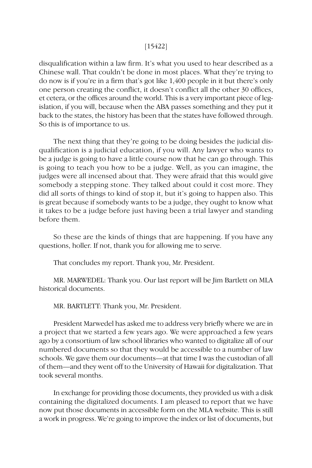### [15422]

disqualification within a law firm. It's what you used to hear described as a Chinese wall. That couldn't be done in most places. What they're trying to do now is if you're in a firm that's got like 1,400 people in it but there's only one person creating the conflict, it doesn't conflict all the other 30 offices, et cetera, or the offices around the world. This is a very important piece of legislation, if you will, because when the ABA passes something and they put it back to the states, the history has been that the states have followed through. So this is of importance to us.

The next thing that they're going to be doing besides the judicial disqualification is a judicial education, if you will. Any lawyer who wants to be a judge is going to have a little course now that he can go through. This is going to teach you how to be a judge. Well, as you can imagine, the judges were all incensed about that. They were afraid that this would give somebody a stepping stone. They talked about could it cost more. They did all sorts of things to kind of stop it, but it's going to happen also. This is great because if somebody wants to be a judge, they ought to know what it takes to be a judge before just having been a trial lawyer and standing before them.

So these are the kinds of things that are happening. If you have any questions, holler. If not, thank you for allowing me to serve.

That concludes my report. Thank you, Mr. President.

MR. MARWEDEL: Thank you. Our last report will be Jim Bartlett on MLA historical documents.

MR. BARTLETT: Thank you, Mr. President.

President Marwedel has asked me to address very briefly where we are in a project that we started a few years ago. We were approached a few years ago by a consortium of law school libraries who wanted to digitalize all of our numbered documents so that they would be accessible to a number of law schools. We gave them our documents—at that time I was the custodian of all of them—and they went off to the University of Hawaii for digitalization. That took several months.

In exchange for providing those documents, they provided us with a disk containing the digitalized documents. I am pleased to report that we have now put those documents in accessible form on the MLA website. This is still a work in progress. We're going to improve the index or list of documents, but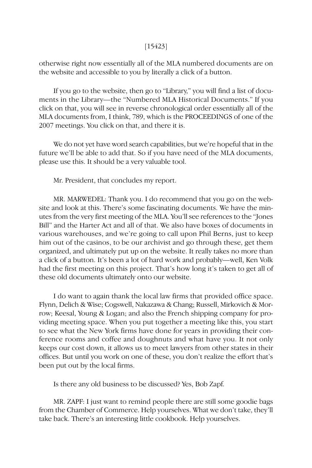### [15423]

otherwise right now essentially all of the MLA numbered documents are on the website and accessible to you by literally a click of a button.

If you go to the website, then go to "Library," you will find a list of documents in the Library—the "Numbered MLA Historical Documents." If you click on that, you will see in reverse chronological order essentially all of the MLA documents from, I think, 789, which is the PROCEEDINGS of one of the 2007 meetings. You click on that, and there it is.

We do not yet have word search capabilities, but we're hopeful that in the future we'll be able to add that. So if you have need of the MLA documents, please use this. It should be a very valuable tool.

Mr. President, that concludes my report.

MR. MARWEDEL: Thank you. I do recommend that you go on the website and look at this. There's some fascinating documents. We have the minutes from the very first meeting of the MLA. You'll see references to the "Jones Bill" and the Harter Act and all of that. We also have boxes of documents in various warehouses, and we're going to call upon Phil Berns, just to keep him out of the casinos, to be our archivist and go through these, get them organized, and ultimately put up on the website. It really takes no more than a click of a button. It's been a lot of hard work and probably—well, Ken Volk had the first meeting on this project. That's how long it's taken to get all of these old documents ultimately onto our website.

I do want to again thank the local law firms that provided office space. Flynn, Delich & Wise; Cogswell, Nakazawa & Chang; Russell, Mirkovich & Morrow; Keesal, Young & Logan; and also the French shipping company for providing meeting space. When you put together a meeting like this, you start to see what the New York firms have done for years in providing their conference rooms and coffee and doughnuts and what have you. It not only keeps our cost down, it allows us to meet lawyers from other states in their offices. But until you work on one of these, you don't realize the effort that's been put out by the local firms.

Is there any old business to be discussed? Yes, Bob Zapf.

MR. ZAPF: I just want to remind people there are still some goodie bags from the Chamber of Commerce. Help yourselves. What we don't take, they'll take back. There's an interesting little cookbook. Help yourselves.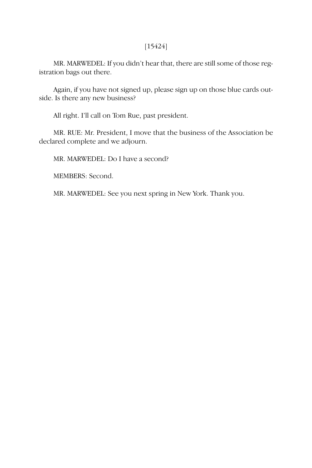# [15424]

MR. MARWEDEL: If you didn't hear that, there are still some of those registration bags out there.

Again, if you have not signed up, please sign up on those blue cards outside. Is there any new business?

All right. I'll call on Tom Rue, past president.

MR. RUE: Mr. President, I move that the business of the Association be declared complete and we adjourn.

MR. MARWEDEL: Do I have a second?

MEMBERS: Second.

MR. MARWEDEL: See you next spring in New York. Thank you.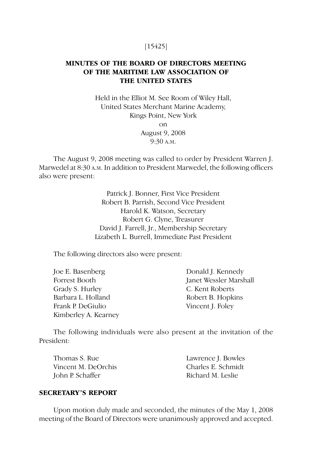# [15425]

# **MINUTES OF THE BOARD OF DIRECTORS MEETING OF THE MARITIME LAW ASSOCIATION OF THE UNITED STATES**

Held in the Elliot M. See Room of Wiley Hall, United States Merchant Marine Academy, Kings Point, New York on August 9, 2008 9:30 A.M.

The August 9, 2008 meeting was called to order by President Warren J. Marwedel at 8:30 A.M. In addition to President Marwedel, the following officers also were present:

> Patrick J. Bonner, First Vice President Robert B. Parrish, Second Vice President Harold K. Watson, Secretary Robert G. Clyne, Treasurer David J. Farrell, Jr., Membership Secretary Lizabeth L. Burrell, Immediate Past President

The following directors also were present:

Joe E. Basenberg Donald J. Kennedy Forrest Booth Janet Wessler Marshall Grady S. Hurley C. Kent Roberts Barbara L. Holland Robert B. Hopkins Frank P. DeGiulio Vincent J. Foley Kimberley A. Kearney

The following individuals were also present at the invitation of the President:

Thomas S. Rue Lawrence J. Bowles Vincent M. DeOrchis Charles E. Schmidt John P. Schaffer Richard M. Leslie

### **SECRETARY'S REPORT**

Upon motion duly made and seconded, the minutes of the May 1, 2008 meeting of the Board of Directors were unanimously approved and accepted.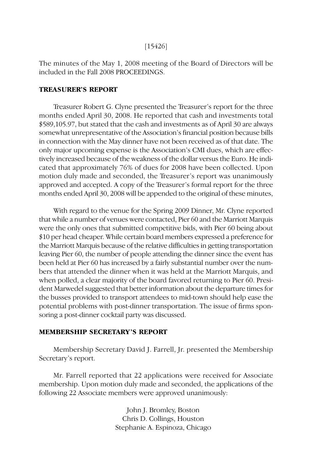## [15426]

The minutes of the May 1, 2008 meeting of the Board of Directors will be included in the Fall 2008 PROCEEDINGS.

#### **TREASURER'S REPORT**

Treasurer Robert G. Clyne presented the Treasurer's report for the three months ended April 30, 2008. He reported that cash and investments total \$589,105.97, but stated that the cash and investments as of April 30 are always somewhat unrepresentative of the Association's financial position because bills in connection with the May dinner have not been received as of that date. The only major upcoming expense is the Association's CMI dues, which are effectively increased because of the weakness of the dollar versus the Euro. He indicated that approximately 76% of dues for 2008 have been collected. Upon motion duly made and seconded, the Treasurer's report was unanimously approved and accepted. A copy of the Treasurer's formal report for the three months ended April 30, 2008 will be appended to the original of these minutes,

With regard to the venue for the Spring 2009 Dinner, Mr. Clyne reported that while a number of venues were contacted, Pier 60 and the Marriott Marquis were the only ones that submitted competitive bids, with Pier 60 being about \$10 per head cheaper. While certain board members expressed a preference for the Marriott Marquis because of the relative difficulties in getting transportation leaving Pier 60, the number of people attending the dinner since the event has been held at Pier 60 has increased by a fairly substantial number over the numbers that attended the dinner when it was held at the Marriott Marquis, and when polled, a clear majority of the board favored returning to Pier 60. President Marwedel suggested that better information about the departure times for the busses provided to transport attendees to mid-town should help ease the potential problems with post-dinner transportation. The issue of firms sponsoring a post-dinner cocktail party was discussed.

# **MEMBERSHIP SECRETARY'S REPORT**

Membership Secretary David J. Farrell, Jr. presented the Membership Secretary's report.

Mr. Farrell reported that 22 applications were received for Associate membership. Upon motion duly made and seconded, the applications of the following 22 Associate members were approved unanimously:

> John J. Bromley, Boston Chris D. Collings, Houston Stephanie A. Espinoza, Chicago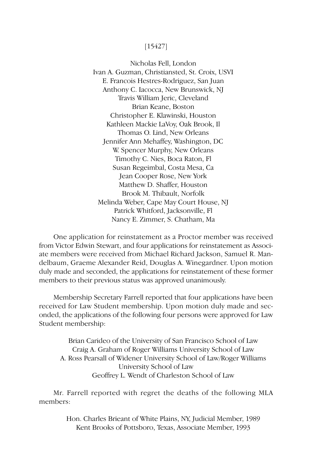# [15427]

Nicholas Fell, London Ivan A. Guzman, Christiansted, St. Croix, USVI E. Francois Hestres-Rodriguez, San Juan Anthony C. Iacocca, New Brunswick, NJ Travis William Jeric, Cleveland Brian Keane, Boston Christopher E. Klawinski, Houston Kathleen Mackie LaVoy, Oak Brook, Il Thomas O. Lind, New Orleans Jennifer Ann Mehaffey, Washington, DC W. Spencer Murphy, New Orleans Timothy C. Nies, Boca Raton, Fl Susan Regeimbal, Costa Mesa, Ca Jean Cooper Rose, New York Matthew D. Shaffer, Houston Brook M. Thibault, Norfolk Melinda Weber, Cape May Court House, NJ Patrick Whitford, Jacksonville, Fl Nancy E. Zimmer, S. Chatham, Ma

One application for reinstatement as a Proctor member was received from Victor Edwin Stewart, and four applications for reinstatement as Associate members were received from Michael Richard Jackson, Samuel R. Mandelbaum, Graeme Alexander Reid, Douglas A. Winegardner. Upon motion duly made and seconded, the applications for reinstatement of these former members to their previous status was approved unanimously.

Membership Secretary Farrell reported that four applications have been received for Law Student membership. Upon motion duly made and seconded, the applications of the following four persons were approved for Law Student membership:

Brian Carideo of the University of San Francisco School of Law Craig A. Graham of Roger Williams University School of Law A. Ross Pearsall of Widener University School of Law/Roger Williams University School of Law Geoffrey L. Wendt of Charleston School of Law

Mr. Farrell reported with regret the deaths of the following MLA members:

> Hon. Charles Brieant of White Plains, NY, Judicial Member, 1989 Kent Brooks of Pottsboro, Texas, Associate Member, 1993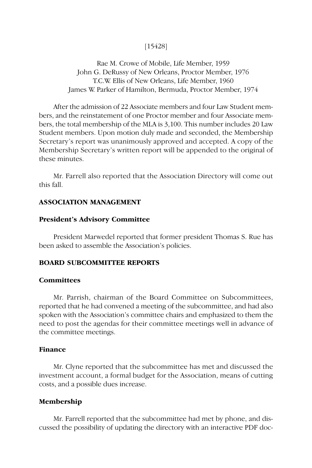# [15428]

Rae M. Crowe of Mobile, Life Member, 1959 John G. DeRussy of New Orleans, Proctor Member, 1976 T.C.W. Ellis of New Orleans, Life Member, 1960 James W. Parker of Hamilton, Bermuda, Proctor Member, 1974

After the admission of 22 Associate members and four Law Student members, and the reinstatement of one Proctor member and four Associate members, the total membership of the MLA is 3,100. This number includes 20 Law Student members. Upon motion duly made and seconded, the Membership Secretary's report was unanimously approved and accepted. A copy of the Membership Secretary's written report will be appended to the original of these minutes.

Mr. Farrell also reported that the Association Directory will come out this fall.

# **ASSOCIATION MANAGEMENT**

### **President's Advisory Committee**

President Marwedel reported that former president Thomas S. Rue has been asked to assemble the Association's policies.

### **BOARD SUBCOMMITTEE REPORTS**

# **Committees**

Mr. Parrish, chairman of the Board Committee on Subcommittees, reported that he had convened a meeting of the subcommittee, and had also spoken with the Association's committee chairs and emphasized to them the need to post the agendas for their committee meetings well in advance of the committee meetings.

### **Finance**

Mr. Clyne reported that the subcommittee has met and discussed the investment account, a formal budget for the Association, means of cutting costs, and a possible dues increase.

#### **Membership**

Mr. Farrell reported that the subcommittee had met by phone, and discussed the possibility of updating the directory with an interactive PDF doc-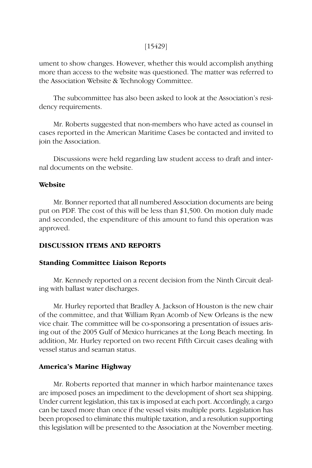## [15429]

ument to show changes. However, whether this would accomplish anything more than access to the website was questioned. The matter was referred to the Association Website & Technology Committee.

The subcommittee has also been asked to look at the Association's residency requirements.

Mr. Roberts suggested that non-members who have acted as counsel in cases reported in the American Maritime Cases be contacted and invited to join the Association.

Discussions were held regarding law student access to draft and internal documents on the website.

# **Website**

Mr. Bonner reported that all numbered Association documents are being put on PDF. The cost of this will be less than \$1,500. On motion duly made and seconded, the expenditure of this amount to fund this operation was approved.

# **DISCUSSION ITEMS AND REPORTS**

### **Standing Committee Liaison Reports**

Mr. Kennedy reported on a recent decision from the Ninth Circuit dealing with ballast water discharges.

Mr. Hurley reported that Bradley A. Jackson of Houston is the new chair of the committee, and that William Ryan Acomb of New Orleans is the new vice chair. The committee will be co-sponsoring a presentation of issues arising out of the 2005 Gulf of Mexico hurricanes at the Long Beach meeting. In addition, Mr. Hurley reported on two recent Fifth Circuit cases dealing with vessel status and seaman status.

#### **America's Marine Highway**

Mr. Roberts reported that manner in which harbor maintenance taxes are imposed poses an impediment to the development of short sea shipping. Under current legislation, this tax is imposed at each port. Accordingly, a cargo can be taxed more than once if the vessel visits multiple ports. Legislation has been proposed to eliminate this multiple taxation, and a resolution supporting this legislation will be presented to the Association at the November meeting.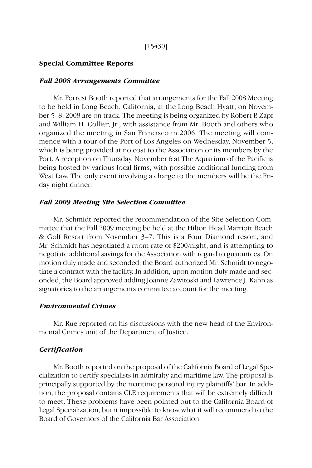#### [15430]

### **Special Committee Reports**

#### *Fall 2008 Arrangements Committee*

Mr. Forrest Booth reported that arrangements for the Fall 2008 Meeting to be held in Long Beach, California, at the Long Beach Hyatt, on November 5–8, 2008 are on track. The meeting is being organized by Robert P. Zapf and William H. Collier, Jr., with assistance from Mr. Booth and others who organized the meeting in San Francisco in 2006. The meeting will commence with a tour of the Port of Los Angeles on Wednesday, November 5, which is being provided at no cost to the Association or its members by the Port. A reception on Thursday, November 6 at The Aquarium of the Pacific is being hosted by various local firms, with possible additional funding from West Law. The only event involving a charge to the members will be the Friday night dinner.

#### *Fall 2009 Meeting Site Selection Committee*

Mr. Schmidt reported the recommendation of the Site Selection Committee that the Fall 2009 meeting be held at the Hilton Head Marriott Beach & Golf Resort from November 3–7. This is a Four Diamond resort, and Mr. Schmidt has negotiated a room rate of \$200/night, and is attempting to negotiate additional savings for the Association with regard to guarantees. On motion duly made and seconded, the Board authorized Mr. Schmidt to negotiate a contract with the facility. In addition, upon motion duly made and seconded, the Board approved adding Joanne Zawitoski and Lawrence J. Kahn as signatories to the arrangements committee account for the meeting.

#### *Environmental Crimes*

Mr. Rue reported on his discussions with the new head of the Environmental Crimes unit of the Department of Justice.

#### *Certification*

Mr. Booth reported on the proposal of the California Board of Legal Specialization to certify specialists in admiralty and maritime law. The proposal is principally supported by the maritime personal injury plaintiffs' bar. In addition, the proposal contains CLE requirements that will be extremely difficult to meet. These problems have been pointed out to the California Board of Legal Specialization, but it impossible to know what it will recommend to the Board of Governors of the California Bar Association.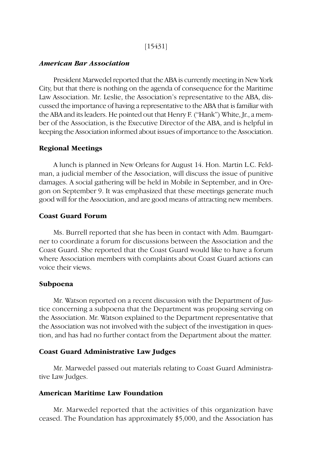# [15431]

#### *American Bar Association*

President Marwedel reported that the ABA is currently meeting in New York City, but that there is nothing on the agenda of consequence for the Maritime Law Association. Mr. Leslie, the Association's representative to the ABA, discussed the importance of having a representative to the ABA that is familiar with the ABA and its leaders. He pointed out that Henry F. ("Hank") White, Jr., a member of the Association, is the Executive Director of the ABA, and is helpful in keeping the Association informed about issues of importance to the Association.

### **Regional Meetings**

A lunch is planned in New Orleans for August 14. Hon. Martin L.C. Feldman, a judicial member of the Association, will discuss the issue of punitive damages. A social gathering will be held in Mobile in September, and in Oregon on September 9. It was emphasized that these meetings generate much good will for the Association, and are good means of attracting new members.

# **Coast Guard Forum**

Ms. Burrell reported that she has been in contact with Adm. Baumgartner to coordinate a forum for discussions between the Association and the Coast Guard. She reported that the Coast Guard would like to have a forum where Association members with complaints about Coast Guard actions can voice their views.

#### **Subpoena**

Mr. Watson reported on a recent discussion with the Department of Justice concerning a subpoena that the Department was proposing serving on the Association. Mr. Watson explained to the Department representative that the Association was not involved with the subject of the investigation in question, and has had no further contact from the Department about the matter.

## **Coast Guard Administrative Law Judges**

Mr. Marwedel passed out materials relating to Coast Guard Administrative Law Judges.

# **American Maritime Law Foundation**

Mr. Marwedel reported that the activities of this organization have ceased. The Foundation has approximately \$5,000, and the Association has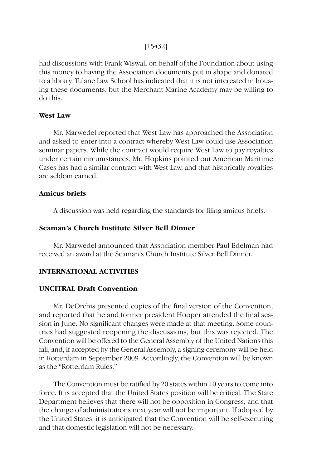[15432]

had discussions with Frank Wiswall on behalf of the Foundation about using this money to having the Association documents put in shape and donated to a library. Tulane Law School has indicated that it is not interested in housing these documents, but the Merchant Marine Academy may be willing to do this.

# **West Law**

Mr. Marwedel reported that West Law has approached the Association and asked to enter into a contract whereby West Law could use Association seminar papers. While the contract would require West Law to pay royalties under certain circumstances, Mr. Hopkins pointed out American Maritime Cases has had a similar contract with West Law, and that historically royalties are seldom earned.

# **Amicus briefs**

A discussion was held regarding the standards for filing amicus briefs.

# **Seaman's Church Institute Silver Bell Dinner**

Mr. Marwedel announced that Association member Paul Edelman had received an award at the Seaman's Church Institute Silver Bell Dinner.

# **INTERNATIONAL ACTIVITIES**

# **UNCITRAL Draft Convention**

Mr. DeOrchis presented copies of the final version of the Convention, and reported that he and former president Hooper attended the final session in June. No significant changes were made at that meeting. Some countries had suggested reopening the discussions, but this was rejected. The Convention will be offered to the General Assembly of the United Nations this fall, and, if accepted by the General Assembly, a signing ceremony will be held in Rotterdam in September 2009. Accordingly, the Convention will be known as the "Rotterdam Rules."

The Convention must be ratified by 20 states within 10 years to come into force. It is accepted that the United States position will be critical. The State Department believes that there will not be opposition in Congress, and that the change of administrations next year will not be important. If adopted by the United States, it is anticipated that the Convention will be self-executing and that domestic legislation will not be necessary.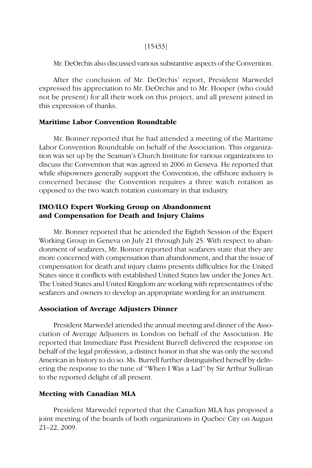## [15433]

Mr. DeOrchis also discussed various substantive aspects of the Convention.

After the conclusion of Mr. DeOrchis' report, President Marwedel expressed his appreciation to Mr. DeOrchis and to Mr. Hooper (who could not be present) for all their work on this project, and all present joined in this expression of thanks.

## **Maritime Labor Convention Roundtable**

Mr. Bonner reported that he had attended a meeting of the Maritime Labor Convention Roundtable on behalf of the Association. This organization was set up by the Seaman's Church Institute for various organizations to discuss the Convention that was agreed in 2006 in Geneva. He reported that while shipowners generally support the Convention, the offshore industry is concerned because the Convention requires a three watch rotation as opposed to the two watch rotation customary in that industry.

# **IMO/ILO Expert Working Group on Abandonment and Compensation for Death and Injury Claims**

Mr. Bonner reported that he attended the Eighth Session of the Expert Working Group in Geneva on July 21 through July 25. With respect to abandonment of seafarers, Mr. Bonner reported that seafarers state that they are more concerned with compensation than abandonment, and that the issue of compensation for death and injury claims presents difficulties for the United States since it conflicts with established United States law under the Jones Act. The United States and United Kingdom are working with representatives of the seafarers and owners to develop an appropriate wording for an instrument.

# **Association of Average Adjusters Dinner**

President Marwedel attended the annual meeting and dinner of the Association of Average Adjusters in London on behalf of the Association. He reported that Immediate Past President Burrell delivered the response on behalf of the legal profession, a distinct honor in that she was only the second American in history to do so. Ms. Burrell further distinguished herself by delivering the response to the tune of "When I Was a Lad" by Sir Arthur Sullivan to the reported delight of all present.

# **Meeting with Canadian MLA**

President Marwedel reported that the Canadian MLA has proposed a joint meeting of the boards of both organizations in Quebec City on August 21–22, 2009.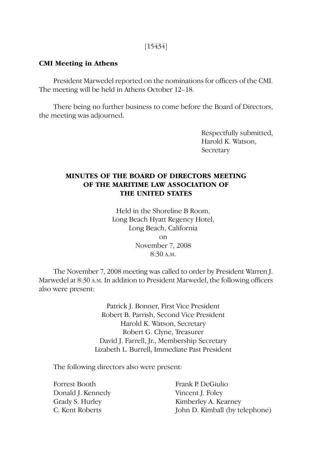# [15434]

# **CMI Meeting in Athens**

President Marwedel reported on the nominations for officers of the CMI. The meeting will be held in Athens October 12–18.

There being no further business to come before the Board of Directors, the meeting was adjourned.

> Respectfully submitted, Harold K. Watson, **Secretary**

# **MINUTES OF THE BOARD OF DIRECTORS MEETING OF THE MARITIME LAW ASSOCIATION OF THE UNITED STATES**

Held in the Shoreline B Room, Long Beach Hyatt Regency Hotel, Long Beach, California on November 7, 2008 8:30 A.M.

The November 7, 2008 meeting was called to order by President Warren J. Marwedel at 8:30 A.M. In addition to President Marwedel, the following officers also were present:

> Patrick J. Bonner, First Vice President Robert B. Parrish, Second Vice President Harold K. Watson, Secretary Robert G. Clyne, Treasurer David J. Farrell, Jr., Membership Secretary Lizabeth L. Burrell, Immediate Past President

The following directors also were present:

Forrest Booth Frank P. DeGiulio Donald J. Kennedy Vincent J. Foley

Grady S. Hurley Kimberley A. Kearney C. Kent Roberts John D. Kimball (by telephone)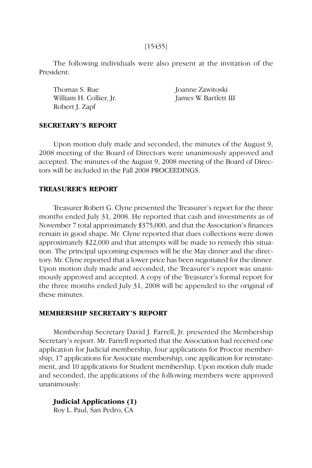The following individuals were also present at the invitation of the President:

Thomas S. Rue Joanne Zawitoski William H. Collier, Jr. James W. Bartlett III Robert J. Zapf

# **SECRETARY'S REPORT**

Upon motion duly made and seconded, the minutes of the August 9, 2008 meeting of the Board of Directors were unanimously approved and accepted. The minutes of the August 9, 2008 meeting of the Board of Directors will be included in the Fall 2008 PROCEEDINGS.

### **TREASURER'S REPORT**

Treasurer Robert G. Clyne presented the Treasurer's report for the three months ended July 31, 2008. He reported that cash and investments as of November 7 total approximately \$375,000, and that the Association's finances remain in good shape. Mr. Clyne reported that dues collections were down approximately \$22,000 and that attempts will be made to remedy this situation. The principal upcoming expenses will be the May dinner and the directory. Mr. Clyne reported that a lower price has been negotiated for the dinner. Upon motion duly made and seconded, the Treasurer's report was unanimously approved and accepted. A copy of the Treasurer's formal report for the three months ended July 31, 2008 will be appended to the original of these minutes.

#### **MEMBERSHIP SECRETARY'S REPORT**

Membership Secretary David J. Farrell, Jr. presented the Membership Secretary's report. Mr. Farrell reported that the Association had received one application for Judicial membership, four applications for Proctor membership, 17 applications for Associate membership, one application for reinstatement, and 10 applications for Student membership. Upon motion duly made and seconded, the applications of the following members were approved unanimously:

# **Judicial Applications (1)**

Roy L. Paul, San Pedro, CA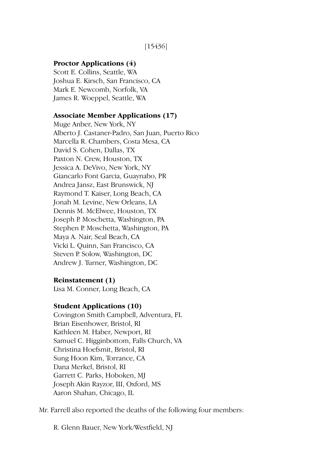# **Proctor Applications (4)**

Scott E. Collins, Seattle, WA Joshua E. Kirsch, San Francisco, CA Mark E. Newcomb, Norfolk, VA James R. Woeppel, Seattle, WA

# **Associate Member Applications (17)**

Muge Anber, New York, NY Alberto J. Castaner-Padro, San Juan, Puerto Rico Marcella R. Chambers, Costa Mesa, CA David S. Cohen, Dallas, TX Paxton N. Crew, Houston, TX Jessica A. DeVivo, New York, NY Giancarlo Font Garcia, Guaynabo, PR Andrea Jansz, East Brunswick, NJ Raymond T. Kaiser, Long Beach, CA Jonah M. Levine, New Orleans, LA Dennis M. McElwee, Houston, TX Joseph P. Moschetta, Washington, PA Stephen P. Moschetta, Washington, PA Maya A. Nair, Seal Beach, CA Vicki L. Quinn, San Francisco, CA Steven P. Solow, Washington, DC Andrew J. Turner, Washington, DC

# **Reinstatement (1)**

Lisa M. Conner, Long Beach, CA

### **Student Applications (10)**

Covington Smith Campbell, Adventura, FL Brian Eisenhower, Bristol, RI Kathleen M. Haber, Newport, RI Samuel C. Higginbottom, Falls Church, VA Christina Hoefsmit, Bristol, RI Sung Hoon Kim, Torrance, CA Dana Merkel, Bristol, RI Garrett C. Parks, Hoboken, MJ Joseph Akin Rayzor, III, Oxford, MS Aaron Shahan, Chicago, IL

Mr. Farrell also reported the deaths of the following four members:

R. Glenn Bauer, New York/Westfield, NJ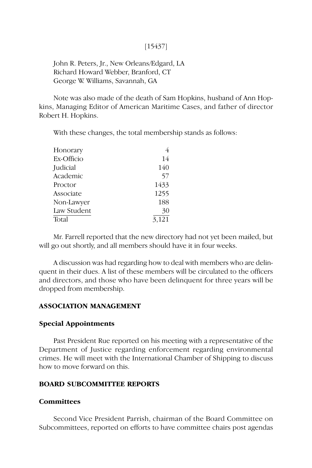# [15437]

John R. Peters, Jr., New Orleans/Edgard, LA Richard Howard Webber, Branford, CT George W. Williams, Savannah, GA

Note was also made of the death of Sam Hopkins, husband of Ann Hopkins, Managing Editor of American Maritime Cases, and father of director Robert H. Hopkins.

With these changes, the total membership stands as follows:

| Honorary    | 4     |
|-------------|-------|
| Ex-Officio  | 14    |
| Judicial    | 140   |
| Academic    | 57    |
| Proctor     | 1433  |
| Associate   | 1255  |
| Non-Lawyer  | 188   |
| Law Student | 30    |
| Total       | 3,121 |

Mr. Farrell reported that the new directory had not yet been mailed, but will go out shortly, and all members should have it in four weeks.

A discussion was had regarding how to deal with members who are delinquent in their dues. A list of these members will be circulated to the officers and directors, and those who have been delinquent for three years will be dropped from membership.

## **ASSOCIATION MANAGEMENT**

#### **Special Appointments**

Past President Rue reported on his meeting with a representative of the Department of Justice regarding enforcement regarding environmental crimes. He will meet with the International Chamber of Shipping to discuss how to move forward on this.

### **BOARD SUBCOMMITTEE REPORTS**

### **Committees**

Second Vice President Parrish, chairman of the Board Committee on Subcommittees, reported on efforts to have committee chairs post agendas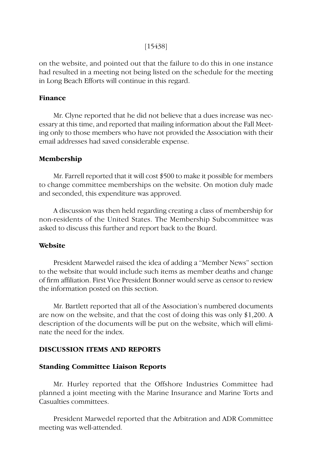# [15438]

on the website, and pointed out that the failure to do this in one instance had resulted in a meeting not being listed on the schedule for the meeting in Long Beach Efforts will continue in this regard.

### **Finance**

Mr. Clyne reported that he did not believe that a dues increase was necessary at this time, and reported that mailing information about the Fall Meeting only to those members who have not provided the Association with their email addresses had saved considerable expense.

#### **Membership**

Mr. Farrell reported that it will cost \$500 to make it possible for members to change committee memberships on the website. On motion duly made and seconded, this expenditure was approved.

A discussion was then held regarding creating a class of membership for non-residents of the United States. The Membership Subcommittee was asked to discuss this further and report back to the Board.

### **Website**

President Marwedel raised the idea of adding a "Member News" section to the website that would include such items as member deaths and change of firm affiliation. First Vice President Bonner would serve as censor to review the information posted on this section.

Mr. Bartlett reported that all of the Association's numbered documents are now on the website, and that the cost of doing this was only \$1,200. A description of the documents will be put on the website, which will eliminate the need for the index.

# **DISCUSSION ITEMS AND REPORTS**

### **Standing Committee Liaison Reports**

Mr. Hurley reported that the Offshore Industries Committee had planned a joint meeting with the Marine Insurance and Marine Torts and Casualties committees.

President Marwedel reported that the Arbitration and ADR Committee meeting was well-attended.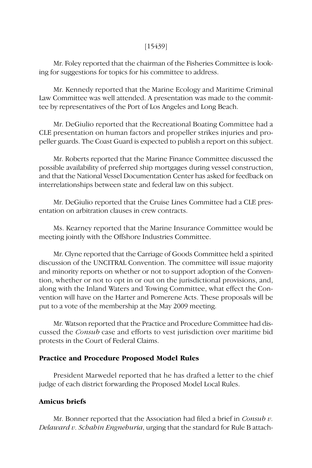# [15439]

Mr. Foley reported that the chairman of the Fisheries Committee is looking for suggestions for topics for his committee to address.

Mr. Kennedy reported that the Marine Ecology and Maritime Criminal Law Committee was well attended. A presentation was made to the committee by representatives of the Port of Los Angeles and Long Beach.

Mr. DeGiulio reported that the Recreational Boating Committee had a CLE presentation on human factors and propeller strikes injuries and propeller guards. The Coast Guard is expected to publish a report on this subject.

Mr. Roberts reported that the Marine Finance Committee discussed the possible availability of preferred ship mortgages during vessel construction, and that the National Vessel Documentation Center has asked for feedback on interrelationships between state and federal law on this subject.

Mr. DeGiulio reported that the Cruise Lines Committee had a CLE presentation on arbitration clauses in crew contracts.

Ms. Kearney reported that the Marine Insurance Committee would be meeting jointly with the Offshore Industries Committee.

Mr. Clyne reported that the Carriage of Goods Committee held a spirited discussion of the UNCITRAL Convention. The committee will issue majority and minority reports on whether or not to support adoption of the Convention, whether or not to opt in or out on the jurisdictional provisions, and, along with the Inland Waters and Towing Committee, what effect the Convention will have on the Harter and Pomerene Acts. These proposals will be put to a vote of the membership at the May 2009 meeting.

Mr. Watson reported that the Practice and Procedure Committee had discussed the *Consub* case and efforts to vest jurisdiction over maritime bid protests in the Court of Federal Claims.

# **Practice and Procedure Proposed Model Rules**

President Marwedel reported that he has drafted a letter to the chief judge of each district forwarding the Proposed Model Local Rules.

# **Amicus briefs**

Mr. Bonner reported that the Association had filed a brief in *Consub v. Delaward v. Schahin Engnehuria*, urging that the standard for Rule B attach-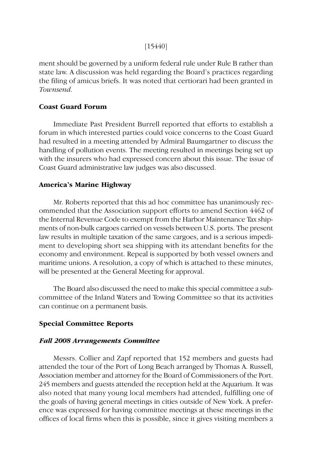# [15440]

ment should be governed by a uniform federal rule under Rule B rather than state law. A discussion was held regarding the Board's practices regarding the filing of amicus briefs. It was noted that certiorari had been granted in *Townsend*.

# **Coast Guard Forum**

Immediate Past President Burrell reported that efforts to establish a forum in which interested parties could voice concerns to the Coast Guard had resulted in a meeting attended by Admiral Baumgartner to discuss the handling of pollution events. The meeting resulted in meetings being set up with the insurers who had expressed concern about this issue. The issue of Coast Guard administrative law judges was also discussed.

# **America's Marine Highway**

Mr. Roberts reported that this ad hoc committee has unanimously recommended that the Association support efforts to amend Section 4462 of the Internal Revenue Code to exempt from the Harbor Maintenance Tax shipments of non-bulk cargoes carried on vessels between U.S. ports. The present law results in multiple taxation of the same cargoes, and is a serious impediment to developing short sea shipping with its attendant benefits for the economy and environment. Repeal is supported by both vessel owners and maritime unions. A resolution, a copy of which is attached to these minutes, will be presented at the General Meeting for approval.

The Board also discussed the need to make this special committee a subcommittee of the Inland Waters and Towing Committee so that its activities can continue on a permanent basis.

# **Special Committee Reports**

# *Fall 2008 Arrangements Committee*

Messrs. Collier and Zapf reported that 152 members and guests had attended the tour of the Port of Long Beach arranged by Thomas A. Russell, Association member and attorney for the Board of Commissioners of the Port. 245 members and guests attended the reception held at the Aquarium. It was also noted that many young local members had attended, fulfilling one of the goals of having general meetings in cities outside of New York. A preference was expressed for having committee meetings at these meetings in the offices of local firms when this is possible, since it gives visiting members a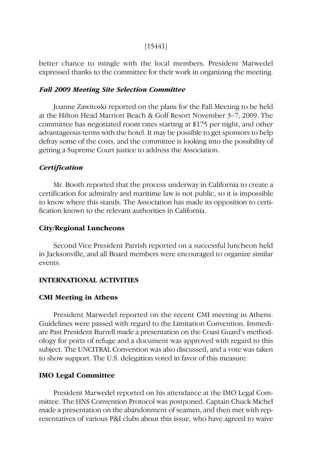# [15441]

better chance to mingle with the local members. President Marwedel expressed thanks to the committee for their work in organizing the meeting.

### *Fall 2009 Meeting Site Selection Committee*

Joanne Zawitoski reported on the plans for the Fall Meeting to be held at the Hilton Head Marriott Beach & Golf Resort November 3–7, 2009. The committee has negotiated room rates starting at \$175 per night, and other advantageous terms with the hotel. It may be possible to get sponsors to help defray some of the costs, and the committee is looking into the possibility of getting a Supreme Court justice to address the Association.

### *Certification*

Mr. Booth reported that the process underway in California to create a certification for admiralty and maritime law is not public, so it is impossible to know where this stands. The Association has made its opposition to certification known to the relevant authorities in California.

#### **City/Regional Luncheons**

Second Vice President Parrish reported on a successful luncheon held in Jacksonville, and all Board members were encouraged to organize similar events.

#### **INTERNATIONAL ACTIVITIES**

## **CMI Meeting in Athens**

President Marwedel reported on the recent CMI meeting in Athens. Guidelines were passed with regard to the Limitation Convention. Immediate Past President Burrell made a presentation on the Coast Guard's methodology for ports of refuge and a document was approved with regard to this subject. The UNCITRAL Convention was also discussed, and a vote was taken to show support. The U.S. delegation voted in favor of this measure.

# **IMO Legal Committee**

President Marwedel reported on his attendance at the IMO Legal Committee. The HNS Convention Protocol was postponed. Captain Chuck Michel made a presentation on the abandonment of seamen, and then met with representatives of various P&I clubs about this issue, who have agreed to waive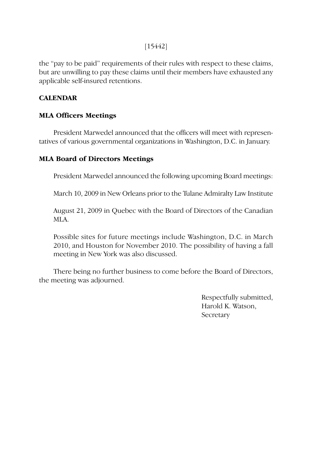# [15442]

the "pay to be paid" requirements of their rules with respect to these claims, but are unwilling to pay these claims until their members have exhausted any applicable self-insured retentions.

# **CALENDAR**

# **MLA Officers Meetings**

President Marwedel announced that the officers will meet with representatives of various governmental organizations in Washington, D.C. in January.

# **MLA Board of Directors Meetings**

President Marwedel announced the following upcoming Board meetings:

March 10, 2009 in New Orleans prior to the Tulane Admiralty Law Institute

August 21, 2009 in Quebec with the Board of Directors of the Canadian MLA.

Possible sites for future meetings include Washington, D.C. in March 2010, and Houston for November 2010. The possibility of having a fall meeting in New York was also discussed.

There being no further business to come before the Board of Directors, the meeting was adjourned.

> Respectfully submitted, Harold K. Watson, **Secretary**